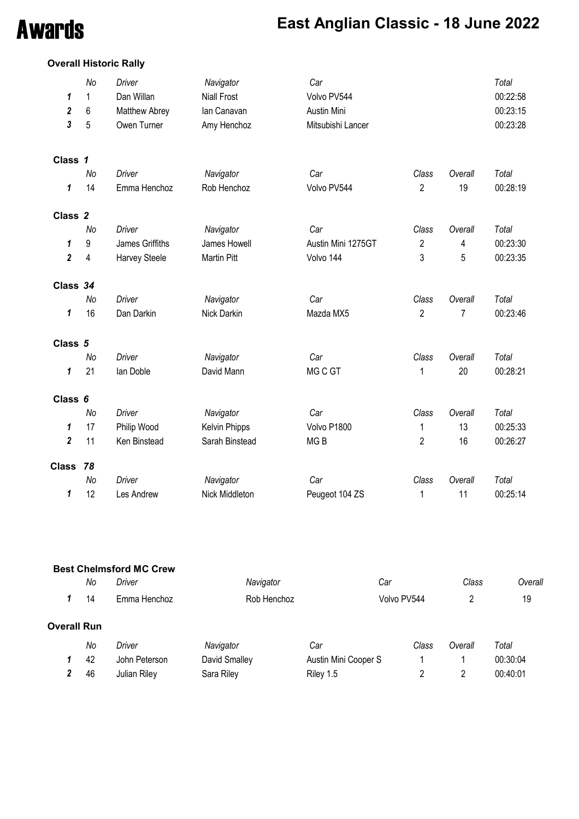## Awards **East Anglian Classic - 18 June 2022**

#### **Overall Historic Rally**

| 1<br>$\boldsymbol{2}$<br>3 | No<br>1<br>6<br>5 | <b>Driver</b><br>Dan Willan<br>Matthew Abrey<br>Owen Turner | Navigator<br><b>Niall Frost</b><br>lan Canavan<br>Amy Henchoz | Car<br>Volvo PV544<br>Austin Mini<br>Mitsubishi Lancer |                         |         | Total<br>00:22:58<br>00:23:15<br>00:23:28 |
|----------------------------|-------------------|-------------------------------------------------------------|---------------------------------------------------------------|--------------------------------------------------------|-------------------------|---------|-------------------------------------------|
| Class 1                    |                   |                                                             |                                                               |                                                        |                         |         |                                           |
|                            | No                | Driver                                                      | Navigator                                                     | Car                                                    | Class                   | Overall | Total                                     |
| 1                          | 14                | Emma Henchoz                                                | Rob Henchoz                                                   | Volvo PV544                                            | $\overline{2}$          | 19      | 00:28:19                                  |
| Class <sub>2</sub>         |                   |                                                             |                                                               |                                                        |                         |         |                                           |
|                            | No                | Driver                                                      | Navigator                                                     | Car                                                    | Class                   | Overall | Total                                     |
| 1                          | 9                 | James Griffiths                                             | James Howell                                                  | Austin Mini 1275GT                                     | $\overline{\mathbf{c}}$ | 4       | 00:23:30                                  |
| $\boldsymbol{2}$           | 4                 | Harvey Steele                                               | <b>Martin Pitt</b>                                            | Volvo 144                                              | 3                       | 5       | 00:23:35                                  |
| Class 34                   |                   |                                                             |                                                               |                                                        |                         |         |                                           |
|                            | No                | <b>Driver</b>                                               | Navigator                                                     | Car                                                    | Class                   | Overall | Total                                     |
| 1                          | 16                | Dan Darkin                                                  | Nick Darkin                                                   | Mazda MX5                                              | $\overline{2}$          | 7       | 00:23:46                                  |
| Class 5                    |                   |                                                             |                                                               |                                                        |                         |         |                                           |
|                            | No                | <b>Driver</b>                                               | Navigator                                                     | Car                                                    | Class                   | Overall | <b>Total</b>                              |
| 1                          | 21                | lan Doble                                                   | David Mann                                                    | MG C GT                                                | 1                       | 20      | 00:28:21                                  |
| Class 6                    |                   |                                                             |                                                               |                                                        |                         |         |                                           |
|                            | No                | <b>Driver</b>                                               | Navigator                                                     | Car                                                    | Class                   | Overall | Total                                     |
| 1                          | 17                | Philip Wood                                                 | <b>Kelvin Phipps</b>                                          | Volvo P1800                                            | 1                       | 13      | 00:25:33                                  |
| $\overline{\mathbf{2}}$    | 11                | Ken Binstead                                                | Sarah Binstead                                                | MG <sub>B</sub>                                        | $\overline{2}$          | 16      | 00:26:27                                  |
| <b>Class</b>               | 78                |                                                             |                                                               |                                                        |                         |         |                                           |
|                            | No                | Driver                                                      | Navigator                                                     | Car                                                    | Class                   | Overall | <b>Total</b>                              |
| 1                          | 12                | Les Andrew                                                  | Nick Middleton                                                | Peugeot 104 ZS                                         | 1                       | 11      | 00:25:14                                  |

|                    |    | <b>Best Chelmsford MC Crew</b> |               |                      |             |         |          |
|--------------------|----|--------------------------------|---------------|----------------------|-------------|---------|----------|
|                    | No | Driver                         | Navigator     | Car                  |             | Class   | Overall  |
| 1                  | 14 | Emma Henchoz                   | Rob Henchoz   |                      | Volvo PV544 | 2       | 19       |
| <b>Overall Run</b> |    |                                |               |                      |             |         |          |
|                    | No | Driver                         | Navigator     | Car                  | Class       | Overall | Total    |
|                    | 42 | John Peterson                  | David Smalley | Austin Mini Cooper S |             |         | 00:30:04 |
| $\mathbf{2}$       | 46 | Julian Riley                   | Sara Riley    | Riley 1.5            | 2           | 2       | 00:40:01 |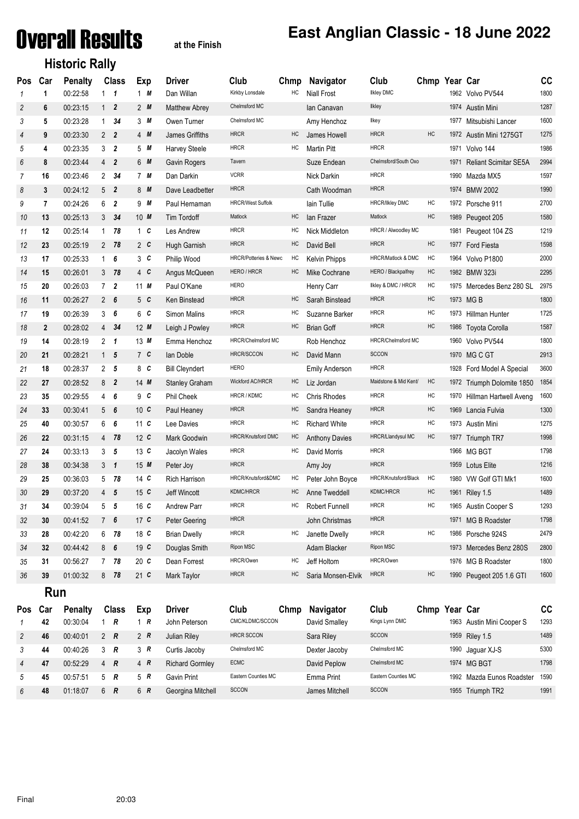## Overall Results **at the Finish**

#### **Historic Rally**

#### **East Anglian Classic - 18 June 2022**

| Pos            | Car            | <b>Penalty</b> |                | <b>Class</b>            | Exp             | Driver                | Club                             | Chmp | Navigator             | Club                  | Chmp Year Car |      |                              | cc   |
|----------------|----------------|----------------|----------------|-------------------------|-----------------|-----------------------|----------------------------------|------|-----------------------|-----------------------|---------------|------|------------------------------|------|
| $\mathbf{1}$   | 1              | 00:22:58       | $1 \quad 1$    |                         | 1 M             | Dan Willan            | Kirkby Lonsdale                  | HC   | <b>Niall Frost</b>    | <b>Ilkley DMC</b>     |               |      | 1962 Volvo PV544             | 1800 |
| $\overline{c}$ | 6              | 00:23:15       | $1\quad 2$     |                         | 2M              | <b>Matthew Abrey</b>  | Chelmsford MC                    |      | lan Canavan           | Ilkley                |               | 1974 | Austin Mini                  | 1287 |
| 3              | 5              | 00:23:28       | $\mathbf{1}$   | 34                      | 3M              | Owen Turner           | Chelmsford MC                    |      | Amy Henchoz           | llkey                 |               | 1977 | Mitsubishi Lancer            | 1600 |
| 4              | 9              | 00:23:30       | 2 <sub>2</sub> |                         | $4 \, M$        | James Griffiths       | <b>HRCR</b>                      | HC   | James Howell          | <b>HRCR</b>           | HC            | 1972 | Austin Mini 1275GT           | 1275 |
| 5              | 4              | 00:23:35       | 3              | $\overline{2}$          | 5M              | <b>Harvey Steele</b>  | <b>HRCR</b>                      | HC   | <b>Martin Pitt</b>    | <b>HRCR</b>           |               | 1971 | Volvo 144                    | 1986 |
| 6              | 8              | 00.23.44       | $\overline{4}$ | $\overline{2}$          | 6 M             | Gavin Rogers          | Tavern                           |      | Suze Endean           | Chelmsford/South Oxo  |               | 1971 | <b>Reliant Scimitar SE5A</b> | 2994 |
| $\overline{7}$ | 16             | 00:23:46       | $\overline{2}$ | 34                      | 7M              | Dan Darkin            | <b>VCRR</b>                      |      | Nick Darkin           | <b>HRCR</b>           |               | 1990 | Mazda MX5                    | 1597 |
| 8              | $\mathbf{3}$   | 00:24:12       | 5              | $\overline{2}$          | 8 M             | Dave Leadbetter       | <b>HRCR</b>                      |      | Cath Woodman          | <b>HRCR</b>           |               | 1974 | <b>BMW 2002</b>              | 1990 |
| 9              | $\overline{7}$ | 00:24:26       | 6              | $\overline{2}$          | 9 M             | Paul Hernaman         | <b>HRCR/West Suffolk</b>         |      | lain Tullie           | HRCR/likley DMC       | $\sf HC$      | 1972 | Porsche 911                  | 2700 |
| 10             | 13             | 00:25:13       | 3              | 34                      | $10$ M          | Tim Tordoff           | Matlock                          | HC   | lan Frazer            | Matlock               | HC            |      | 1989 Peugeot 205             | 1580 |
| 11             | 12             | 00:25:14       | $\mathbf{1}$   | 78                      | $1\,c$          | Les Andrew            | <b>HRCR</b>                      | HC   | Nick Middleton        | HRCR / Alwoodley MC   |               |      | 1981 Peugeot 104 ZS          | 1219 |
| 12             | 23             | 00:25:19       | $\overline{2}$ | 78                      | 2 <sub>c</sub>  | Hugh Garnish          | <b>HRCR</b>                      | HC   | David Bell            | <b>HRCR</b>           | HC            |      | 1977 Ford Fiesta             | 1598 |
| 13             | 17             | 00:25:33       | 1              | 6                       | 3 <sup>c</sup>  | Philip Wood           | <b>HRCR/Potteries &amp; Newc</b> | HC   | <b>Kelvin Phipps</b>  | HRCR/Matlock & DMC    | HC            |      | 1964 Volvo P1800             | 2000 |
| 14             | 15             | 00:26:01       | 3              | - 78                    | $4\,c$          | Angus McQueen         | HERO / HRCR                      | HC   | Mike Cochrane         | HERO / Blackpalfrey   | HC            |      | 1982 BMW 323i                | 2295 |
| 15             | 20             | 00:26:03       | $7^{\circ}$    | $\overline{2}$          | $11$ M          | Paul O'Kane           | <b>HERO</b>                      |      | Henry Carr            | Ilkley & DMC / HRCR   | HC            |      | 1975 Mercedes Benz 280 SL    | 2975 |
| 16             | 11             | 00:26:27       | $\overline{2}$ | 6                       | 5 <sup>c</sup>  | Ken Binstead          | <b>HRCR</b>                      | HC   | Sarah Binstead        | <b>HRCR</b>           | HC            |      | 1973 MG B                    | 1800 |
| 17             | 19             | 00:26:39       | 3              | 6                       | 6 C             | Simon Malins          | <b>HRCR</b>                      | HC   | Suzanne Barker        | <b>HRCR</b>           | HC            |      | 1973 Hillman Hunter          | 1725 |
| 18             | $\mathbf 2$    | 00:28:02       | 4              | 34                      | $12$ M          | Leigh J Powley        | <b>HRCR</b>                      | HC   | <b>Brian Goff</b>     | <b>HRCR</b>           | HC            | 1986 | <b>Toyota Corolla</b>        | 1587 |
| 19             | 14             | 00:28:19       | $\overline{2}$ | $\overline{\mathbf{1}}$ | 13 $M$          | Emma Henchoz          | HRCR/Chelmsford MC               |      | Rob Henchoz           | HRCR/Chelmsford MC    |               | 1960 | Volvo PV544                  | 1800 |
| 20             | 21             | 00:28:21       | 1 <sub>5</sub> |                         | 7 <sub>c</sub>  | lan Doble             | <b>HRCR/SCCON</b>                | HC   | David Mann            | <b>SCCON</b>          |               |      | 1970 MG C GT                 | 2913 |
| 21             | 18             | 00:28:37       | 2 <sub>5</sub> |                         | 8 C             | <b>Bill Cleyndert</b> | <b>HERO</b>                      |      | <b>Emily Anderson</b> | <b>HRCR</b>           |               |      | 1928 Ford Model A Special    | 3600 |
| 22             | 27             | 00:28:52       | 8              | $\overline{2}$          | $14$ M          | <b>Stanley Graham</b> | Wickford AC/HRCR                 | HC   | Liz Jordan            | Maidstone & Mid Kent/ | HC            | 1972 | Triumph Dolomite 1850        | 1854 |
| 23             | 35             | 00:29:55       | 4              | - 6                     | 9 <sup>C</sup>  | Phil Cheek            | HRCR / KDMC                      | HC   | Chris Rhodes          | <b>HRCR</b>           | HC            | 1970 | Hillman Hartwell Aveng       | 1600 |
| 24             | 33             | 00:30:41       | 5              | - 6                     | 10 <sub>c</sub> | Paul Heaney           | <b>HRCR</b>                      | HC   | Sandra Heaney         | <b>HRCR</b>           | HC            | 1969 | Lancia Fulvia                | 1300 |
| 25             | 40             | 00:30:57       | 6 <sub>6</sub> |                         | 11 $c$          | Lee Davies            | <b>HRCR</b>                      | HC   | <b>Richard White</b>  | <b>HRCR</b>           | HC            | 1973 | Austin Mini                  | 1275 |
| 26             | 22             | 00:31:15       | 4              | 78                      | 12 <sub>c</sub> | Mark Goodwin          | HRCR/Knutsford DMC               | HC   | <b>Anthony Davies</b> | HRCR/Llandysul MC     | HC            | 1977 | Triumph TR7                  | 1998 |
| 27             | 24             | 00:33:13       | 3 <sub>5</sub> |                         | 13C             | Jacolyn Wales         | <b>HRCR</b>                      | HC   | David Morris          | <b>HRCR</b>           |               |      | 1966 MG BGT                  | 1798 |
| 28             | 38             | 00:34:38       | $3 \quad 1$    |                         | 15M             | Peter Joy             | <b>HRCR</b>                      |      | Amy Joy               | <b>HRCR</b>           |               | 1959 | Lotus Elite                  | 1216 |
| 29             | 25             | 00:36:03       | 5              | 78                      | $14$ C          | <b>Rich Harrison</b>  | HRCR/Knutsford&DMC               | HC   | Peter John Boyce      | HRCR/Knutsford/Black  | HC            | 1980 | VW Golf GTI Mk1              | 1600 |
| 30             | 29             | 00:37:20       | 4              | 5                       | $15$ C          | <b>Jeff Wincott</b>   | KDMC/HRCR                        | HC   | Anne Tweddell         | KDMC/HRCR             | HC            | 1961 | Riley 1.5                    | 1489 |
| 31             | 34             | 00:39:04       | 5              | 5                       | $16$ C          | <b>Andrew Parr</b>    | <b>HRCR</b>                      | HC   | <b>Robert Funnell</b> | <b>HRCR</b>           | HC            | 1965 | Austin Cooper S              | 1293 |
| 32             | 30             | 00:41:52       | 7 <sup>1</sup> | 6                       | 17 <sub>c</sub> | Peter Geering         | <b>HRCR</b>                      |      | John Christmas        | <b>HRCR</b>           |               | 1971 | <b>MG B Roadster</b>         | 1798 |
| 33             | 28             | 00:42:20       | 6              | 78                      | 18 <sub>c</sub> | <b>Brian Dwelly</b>   | <b>HRCR</b>                      | HC   | Janette Dwelly        | <b>HRCR</b>           | HC            | 1986 | Porsche 924S                 | 2479 |
| 34             | 32             | 00:44:42       | 8              | 6                       | 19 <sub>c</sub> | Douglas Smith         | Ripon MSC                        |      | Adam Blacker          | Ripon MSC             |               |      | 1973 Mercedes Benz 280S      | 2800 |
| 35             | 31             | 00:56:27       | $\overline{7}$ | 78                      | 20 <sub>c</sub> | Dean Forrest          | HRCR/Owen                        | HC   | Jeff Holtom           | HRCR/Owen             |               |      | 1976 MG B Roadster           | 1800 |
| 36             | 39             | 01:00:32       | 8              | 78                      | $21$ C          | Mark Taylor           | <b>HRCR</b>                      | HC   | Saria Monsen-Elvik    | <b>HRCR</b>           | HC            |      | 1990 Peugeot 205 1.6 GTI     | 1600 |

**Run**

| Pos | Car | <b>Penalty</b> |            | Class | Exp | Driver                 | Club                | Chmp | <b>Navigator</b> | Club                | Chmp | Year Car |                      | cc   |
|-----|-----|----------------|------------|-------|-----|------------------------|---------------------|------|------------------|---------------------|------|----------|----------------------|------|
|     | 42  | 00:30:04       |            | R     | R   | John Peterson          | CMC/KLDMC/SCCON     |      | David Smalley    | Kings Lynn DMC      |      | 1963     | Austin Mini Cooper S | 1293 |
| 2   | 46  | 00:40:01       | 2 $\bm{R}$ |       | 2 R | Julian Rilev           | <b>HRCR SCCON</b>   |      | Sara Riley       | <b>SCCON</b>        |      |          | 1959 Riley 1.5       | 1489 |
| 3   | 44  | 00:40:26       | 3 R        |       | 3R  | Curtis Jacoby          | Chelmsford MC       |      | Dexter Jacoby    | Chelmsford MC       |      |          | 1990 Jaguar XJ-S     | 5300 |
| 4   | 47  | 00:52:29       | 4 R        |       | 4 R | <b>Richard Gormley</b> | <b>ECMC</b>         |      | David Peplow     | Chelmsford MC       |      |          | 1974 MG BGT          | 1798 |
| 5   | 45  | 00:57:51       | 5          | R     | 5 R | Gavin Print            | Eastern Counties MC |      | Emma Print       | Eastern Counties MC |      | 1992     | Mazda Eunos Roadster | 1590 |
| 6   | 48  | 01:18:07       | 6          | R     | 6 R | Georgina Mitchell      | <b>SCCON</b>        |      | James Mitchell   | <b>SCCON</b>        |      | 1955     | Triumph TR2          | 1991 |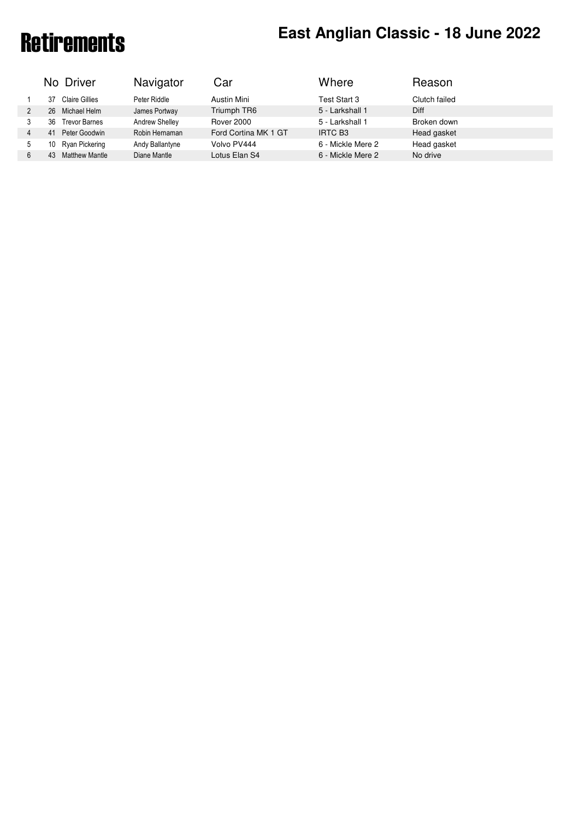# Retirements **East Anglian Classic - 18 June 2022**

|   | No Driver                   | Navigator       | Car                  | Where             | Reason        |  |
|---|-----------------------------|-----------------|----------------------|-------------------|---------------|--|
|   | Claire Gillies<br>37        | Peter Riddle    | Austin Mini          | Test Start 3      | Clutch failed |  |
|   | Michael Helm<br>26          | James Portway   | Triumph TR6          | 5 - Larkshall 1   | Diff          |  |
|   | <b>Trevor Barnes</b><br>36  | Andrew Shelley  | <b>Rover 2000</b>    | 5 - Larkshall 1   | Broken down   |  |
| 4 | Peter Goodwin<br>41         | Robin Hernaman  | Ford Cortina MK 1 GT | <b>IRTC B3</b>    | Head gasket   |  |
| 5 | Ryan Pickering<br>10        | Andy Ballantyne | Volvo PV444          | 6 - Mickle Mere 2 | Head gasket   |  |
| 6 | <b>Matthew Mantle</b><br>43 | Diane Mantle    | Lotus Elan S4        | 6 - Mickle Mere 2 | No drive      |  |
|   |                             |                 |                      |                   |               |  |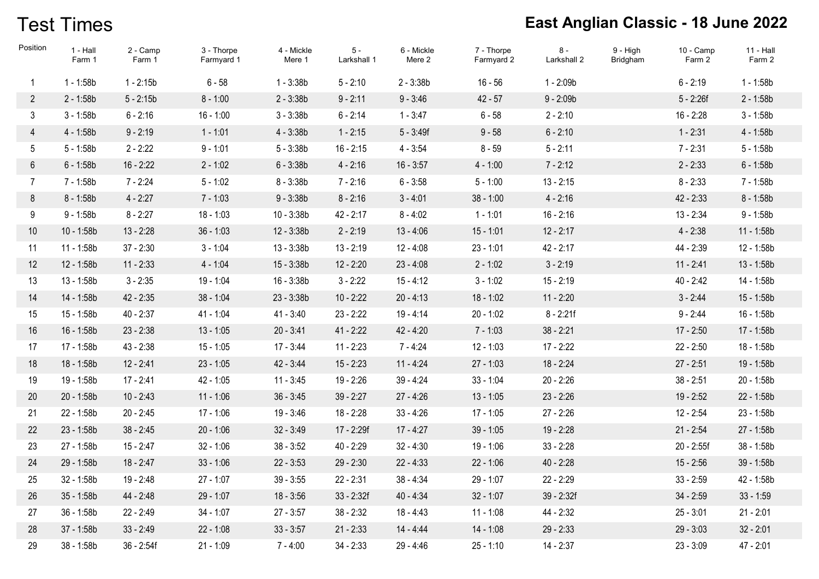## Test Times

| Position       | 1 - Hall<br>Farm 1 | 2 - Camp<br>Farm 1 | 3 - Thorpe<br>Farmyard 1 | 4 - Mickle<br>Mere 1 | $5 -$<br>Larkshall 1 | 6 - Mickle<br>Mere 2 | 7 - Thorpe<br>Farmyard 2 | $8 -$<br>Larkshall 2 | $9 - High$<br><b>Bridgham</b> | $10 - Camp$<br>Farm 2 | 11 - Hall<br>Farm 2 |
|----------------|--------------------|--------------------|--------------------------|----------------------|----------------------|----------------------|--------------------------|----------------------|-------------------------------|-----------------------|---------------------|
| 1              | $1 - 1:58b$        | $1 - 2:15b$        | $6 - 58$                 | $1 - 3:38b$          | $5 - 2:10$           | $2 - 3:38b$          | $16 - 56$                | $1 - 2:09b$          |                               | $6 - 2:19$            | $1 - 1:58b$         |
| $\overline{2}$ | $2 - 1:58b$        | $5 - 2:15b$        | $8 - 1:00$               | $2 - 3:38b$          | $9 - 2:11$           | $9 - 3:46$           | $42 - 57$                | $9 - 2:09b$          |                               | $5 - 2:26f$           | $2 - 1:58b$         |
| $\mathfrak{Z}$ | $3 - 1:58b$        | $6 - 2:16$         | $16 - 1:00$              | $3 - 3:38b$          | $6 - 2:14$           | $1 - 3:47$           | $6 - 58$                 | $2 - 2:10$           |                               | $16 - 2:28$           | $3 - 1:58b$         |
| 4              | 4 - 1:58b          | $9 - 2:19$         | $1 - 1:01$               | $4 - 3:38b$          | $1 - 2:15$           | $5 - 3:49f$          | $9 - 58$                 | $6 - 2:10$           |                               | $1 - 2:31$            | $4 - 1:58b$         |
| 5              | $5 - 1:58b$        | $2 - 2:22$         | $9 - 1:01$               | $5 - 3:38b$          | $16 - 2:15$          | $4 - 3:54$           | $8 - 59$                 | $5 - 2:11$           |                               | $7 - 2:31$            | $5 - 1:58b$         |
| 6              | $6 - 1:58b$        | $16 - 2:22$        | $2 - 1:02$               | $6 - 3:38b$          | $4 - 2:16$           | $16 - 3:57$          | $4 - 1:00$               | $7 - 2:12$           |                               | $2 - 2:33$            | $6 - 1:58b$         |
| $\overline{7}$ | 7 - 1:58b          | $7 - 2:24$         | $5 - 1:02$               | $8 - 3:38b$          | $7 - 2:16$           | $6 - 3:58$           | $5 - 1:00$               | $13 - 2:15$          |                               | $8 - 2:33$            | 7 - 1:58b           |
| 8              | $8 - 1:58b$        | $4 - 2:27$         | $7 - 1:03$               | $9 - 3:38b$          | $8 - 2:16$           | $3 - 4:01$           | $38 - 1:00$              | $4 - 2:16$           |                               | $42 - 2:33$           | $8 - 1:58b$         |
| 9              | $9 - 1:58b$        | $8 - 2:27$         | $18 - 1:03$              | $10 - 3:38b$         | $42 - 2:17$          | $8 - 4:02$           | $1 - 1:01$               | $16 - 2:16$          |                               | $13 - 2:34$           | $9 - 1:58b$         |
| 10             | $10 - 1:58b$       | $13 - 2:28$        | $36 - 1:03$              | $12 - 3:38b$         | $2 - 2:19$           | $13 - 4:06$          | $15 - 1:01$              | $12 - 2:17$          |                               | $4 - 2:38$            | $11 - 1:58b$        |
| 11             | $11 - 1:58b$       | $37 - 2:30$        | $3 - 1:04$               | $13 - 3:38b$         | $13 - 2:19$          | $12 - 4:08$          | $23 - 1:01$              | $42 - 2:17$          |                               | 44 - 2:39             | 12 - 1:58b          |
| 12             | 12 - 1:58b         | $11 - 2:33$        | $4 - 1:04$               | $15 - 3:38b$         | $12 - 2:20$          | $23 - 4:08$          | $2 - 1:02$               | $3 - 2:19$           |                               | $11 - 2:41$           | $13 - 1:58b$        |
| 13             | 13 - 1:58b         | $3 - 2:35$         | 19 - 1:04                | $16 - 3:38b$         | $3 - 2:22$           | $15 - 4:12$          | $3 - 1:02$               | $15 - 2:19$          |                               | $40 - 2:42$           | 14 - 1:58b          |
| 14             | 14 - 1:58b         | $42 - 2:35$        | $38 - 1:04$              | $23 - 3:38b$         | $10 - 2:22$          | $20 - 4:13$          | $18 - 1:02$              | $11 - 2:20$          |                               | $3 - 2:44$            | 15 - 1:58b          |
| 15             | 15 - 1:58b         | $40 - 2:37$        | 41 - 1:04                | $41 - 3:40$          | $23 - 2:22$          | $19 - 4:14$          | $20 - 1:02$              | $8 - 2:21f$          |                               | $9 - 2:44$            | 16 - 1:58b          |
| 16             | $16 - 1:58b$       | $23 - 2:38$        | $13 - 1:05$              | $20 - 3:41$          | $41 - 2:22$          | $42 - 4:20$          | $7 - 1:03$               | $38 - 2:21$          |                               | $17 - 2:50$           | 17 - 1:58b          |
| 17             | 17 - 1:58b         | $43 - 2:38$        | $15 - 1:05$              | $17 - 3:44$          | $11 - 2:23$          | $7 - 4:24$           | $12 - 1:03$              | $17 - 2:22$          |                               | $22 - 2:50$           | 18 - 1:58b          |
| 18             | 18 - 1:58b         | $12 - 2:41$        | $23 - 1:05$              | 42 - 3:44            | $15 - 2:23$          | $11 - 4:24$          | $27 - 1:03$              | $18 - 2:24$          |                               | $27 - 2:51$           | 19 - 1:58b          |
| 19             | 19 - 1:58b         | $17 - 2:41$        | $42 - 1:05$              | $11 - 3:45$          | $19 - 2:26$          | $39 - 4:24$          | $33 - 1:04$              | $20 - 2:26$          |                               | $38 - 2:51$           | 20 - 1:58b          |
| 20             | 20 - 1:58b         | $10 - 2:43$        | $11 - 1:06$              | $36 - 3:45$          | $39 - 2:27$          | $27 - 4:26$          | $13 - 1:05$              | $23 - 2:26$          |                               | $19 - 2:52$           | 22 - 1:58b          |
| 21             | 22 - 1:58b         | $20 - 2:45$        | $17 - 1:06$              | 19 - 3:46            | $18 - 2:28$          | $33 - 4:26$          | $17 - 1:05$              | $27 - 2:26$          |                               | $12 - 2:54$           | 23 - 1:58b          |
| 22             | 23 - 1:58b         | $38 - 2:45$        | $20 - 1:06$              | $32 - 3:49$          | 17 - 2:29f           | $17 - 4:27$          | $39 - 1:05$              | 19 - 2:28            |                               | $21 - 2:54$           | 27 - 1:58b          |
| 23             | 27 - 1:58b         | $15 - 2:47$        | $32 - 1:06$              | $38 - 3:52$          | $40 - 2:29$          | $32 - 4:30$          | $19 - 1:06$              | $33 - 2:28$          |                               | 20 - 2:55f            | 38 - 1:58b          |
| 24             | 29 - 1:58b         | $18 - 2:47$        | $33 - 1:06$              | $22 - 3:53$          | $29 - 2:30$          | $22 - 4:33$          | $22 - 1:06$              | $40 - 2:28$          |                               | $15 - 2:56$           | 39 - 1:58b          |
| 25             | 32 - 1:58b         | $19 - 2:48$        | $27 - 1:07$              | $39 - 3:55$          | $22 - 2:31$          | $38 - 4:34$          | 29 - 1:07                | $22 - 2:29$          |                               | $33 - 2:59$           | 42 - 1:58b          |
| 26             | $35 - 1:58b$       | 44 - 2:48          | 29 - 1:07                | $18 - 3:56$          | $33 - 2:32f$         | $40 - 4:34$          | $32 - 1:07$              | $39 - 2:32f$         |                               | $34 - 2:59$           | $33 - 1:59$         |
| 27             | 36 - 1:58b         | $22 - 2:49$        | $34 - 1:07$              | $27 - 3:57$          | $38 - 2:32$          | $18 - 4:43$          | $11 - 1:08$              | 44 - 2:32            |                               | $25 - 3:01$           | $21 - 2:01$         |
| 28             | 37 - 1:58b         | $33 - 2:49$        | $22 - 1:08$              | $33 - 3:57$          | $21 - 2:33$          | $14 - 4:44$          | $14 - 1:08$              | $29 - 2:33$          |                               | $29 - 3:03$           | $32 - 2:01$         |
| 29             | 38 - 1:58b         | $36 - 2:54f$       | $21 - 1:09$              | $7 - 4:00$           | $34 - 2:33$          | $29 - 4:46$          | $25 - 1:10$              | $14 - 2:37$          |                               | $23 - 3:09$           | 47 - 2:01           |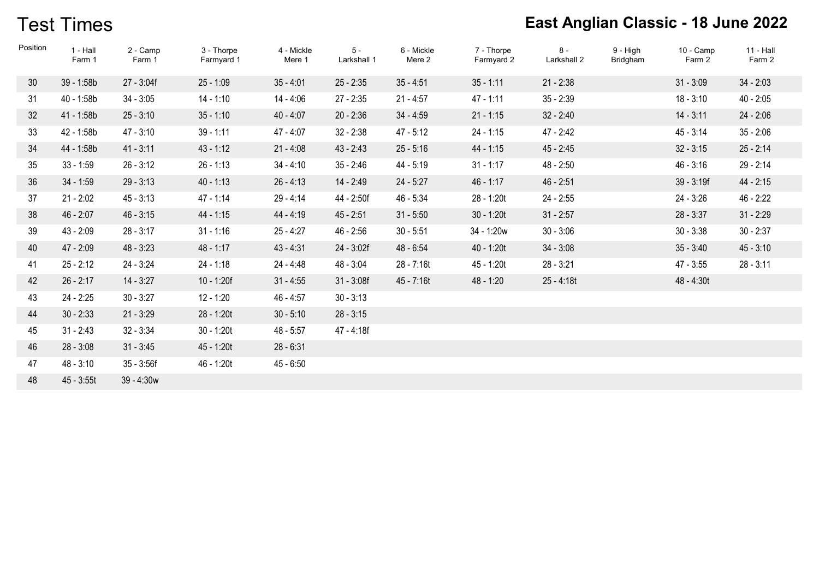## Test Times

| Position        | $1 - Hall$<br>Farm 1 | 2 - Camp<br>Farm 1 | 3 - Thorpe<br>Farmyard 1 | 4 - Mickle<br>Mere 1 | $5 -$<br>Larkshall 1 | 6 - Mickle<br>Mere 2 | 7 - Thorpe<br>Farmyard 2 | $8 -$<br>Larkshall 2 | $9 - High$<br>Bridgham | $10 - \text{Camp}$<br>Farm 2 | $11 - Hall$<br>Farm 2 |
|-----------------|----------------------|--------------------|--------------------------|----------------------|----------------------|----------------------|--------------------------|----------------------|------------------------|------------------------------|-----------------------|
| 30 <sup>°</sup> | 39 - 1:58b           | $27 - 3:04f$       | $25 - 1:09$              | $35 - 4:01$          | $25 - 2:35$          | $35 - 4:51$          | $35 - 1:11$              | $21 - 2:38$          |                        | $31 - 3:09$                  | $34 - 2:03$           |
| 31              | 40 - 1:58b           | $34 - 3:05$        | $14 - 1:10$              | 14 - 4:06            | $27 - 2:35$          | $21 - 4:57$          | $47 - 1:11$              | $35 - 2:39$          |                        | $18 - 3:10$                  | $40 - 2:05$           |
| 32              | 41 - 1:58b           | $25 - 3:10$        | $35 - 1:10$              | $40 - 4:07$          | $20 - 2:36$          | $34 - 4:59$          | $21 - 1:15$              | $32 - 2:40$          |                        | $14 - 3:11$                  | $24 - 2:06$           |
| 33              | 42 - 1:58b           | $47 - 3:10$        | $39 - 1:11$              | $47 - 4:07$          | $32 - 2:38$          | $47 - 5:12$          | $24 - 1:15$              | 47 - 2:42            |                        | $45 - 3:14$                  | $35 - 2:06$           |
| 34              | 44 - 1:58b           | $41 - 3:11$        | $43 - 1:12$              | $21 - 4:08$          | $43 - 2:43$          | $25 - 5:16$          | 44 - 1:15                | $45 - 2:45$          |                        | $32 - 3:15$                  | $25 - 2:14$           |
| 35              | $33 - 1:59$          | $26 - 3:12$        | $26 - 1:13$              | $34 - 4:10$          | $35 - 2:46$          | 44 - 5:19            | $31 - 1:17$              | 48 - 2:50            |                        | $46 - 3:16$                  | $29 - 2:14$           |
| 36              | $34 - 1:59$          | $29 - 3:13$        | $40 - 1:13$              | $26 - 4:13$          | 14 - 2:49            | $24 - 5:27$          | $46 - 1:17$              | $46 - 2:51$          |                        | $39 - 3:19f$                 | $44 - 2:15$           |
| 37              | $21 - 2:02$          | $45 - 3:13$        | $47 - 1:14$              | 29 - 4:14            | 44 - 2:50f           | $46 - 5:34$          | 28 - 1:20t               | $24 - 2:55$          |                        | $24 - 3:26$                  | $46 - 2:22$           |
| 38              | $46 - 2:07$          | $46 - 3:15$        | $44 - 1:15$              | 44 - 4:19            | $45 - 2:51$          | $31 - 5:50$          | $30 - 1:20t$             | $31 - 2:57$          |                        | $28 - 3:37$                  | $31 - 2:29$           |
| 39              | $43 - 2:09$          | $28 - 3:17$        | $31 - 1:16$              | $25 - 4:27$          | $46 - 2:56$          | $30 - 5:51$          | 34 - 1:20w               | $30 - 3:06$          |                        | $30 - 3:38$                  | $30 - 2:37$           |
| 40              | $47 - 2:09$          | $48 - 3:23$        | $48 - 1:17$              | $43 - 4:31$          | 24 - 3:02f           | 48 - 6:54            | $40 - 1:20t$             | $34 - 3:08$          |                        | $35 - 3:40$                  | $45 - 3:10$           |
| 41              | $25 - 2:12$          | $24 - 3:24$        | $24 - 1:18$              | 24 - 4:48            | 48 - 3:04            | 28 - 7:16t           | 45 - 1:20t               | $28 - 3:21$          |                        | $47 - 3:55$                  | $28 - 3:11$           |
| 42              | $26 - 2:17$          | $14 - 3:27$        | $10 - 1:20f$             | $31 - 4:55$          | $31 - 3:08f$         | 45 - 7:16t           | 48 - 1:20                | $25 - 4:18t$         |                        | 48 - 4:30t                   |                       |
| 43              | 24 - 2:25            | $30 - 3:27$        | $12 - 1:20$              | $46 - 4:57$          | $30 - 3:13$          |                      |                          |                      |                        |                              |                       |
| 44              | $30 - 2:33$          | $21 - 3:29$        | 28 - 1:20t               | $30 - 5:10$          | $28 - 3:15$          |                      |                          |                      |                        |                              |                       |
| 45              | $31 - 2:43$          | $32 - 3:34$        | $30 - 1:20t$             | $48 - 5:57$          | 47 - 4:18f           |                      |                          |                      |                        |                              |                       |
| 46              | $28 - 3:08$          | $31 - 3:45$        | 45 - 1:20t               | $28 - 6:31$          |                      |                      |                          |                      |                        |                              |                       |
| 47              | $48 - 3:10$          | $35 - 3:56f$       | 46 - 1:20t               | $45 - 6:50$          |                      |                      |                          |                      |                        |                              |                       |
| 48              | $45 - 3:55t$         | $39 - 4:30w$       |                          |                      |                      |                      |                          |                      |                        |                              |                       |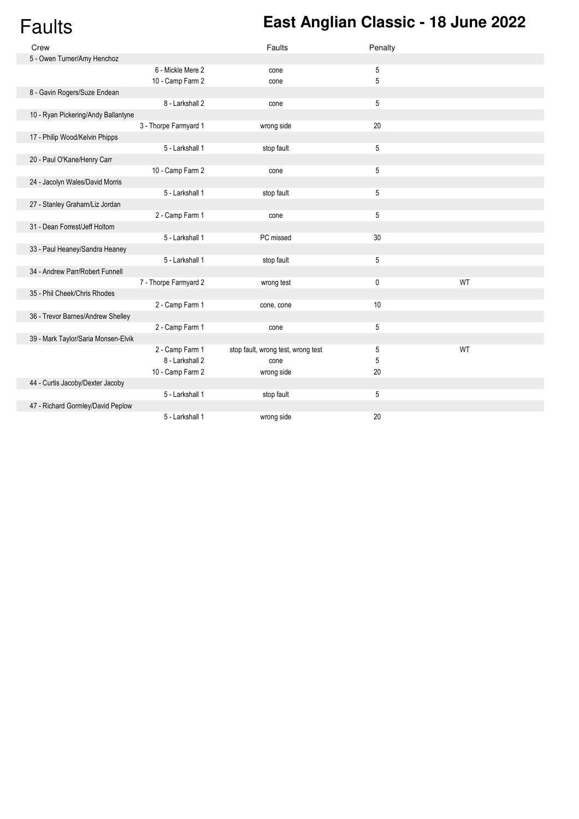## Faults **East Anglian Classic - 18 June 2022**

| Crew                                |                       | Faults                             | Penalty |    |
|-------------------------------------|-----------------------|------------------------------------|---------|----|
| 5 - Owen Turner/Amy Henchoz         |                       |                                    |         |    |
|                                     | 6 - Mickle Mere 2     | cone                               | 5       |    |
|                                     | 10 - Camp Farm 2      | cone                               | 5       |    |
| 8 - Gavin Rogers/Suze Endean        |                       |                                    |         |    |
|                                     | 8 - Larkshall 2       | cone                               | 5       |    |
| 10 - Ryan Pickering/Andy Ballantyne |                       |                                    |         |    |
|                                     | 3 - Thorpe Farmyard 1 | wrong side                         | 20      |    |
| 17 - Philip Wood/Kelvin Phipps      |                       |                                    |         |    |
|                                     | 5 - Larkshall 1       | stop fault                         | 5       |    |
| 20 - Paul O'Kane/Henry Carr         |                       |                                    |         |    |
|                                     | 10 - Camp Farm 2      | cone                               | 5       |    |
| 24 - Jacolyn Wales/David Morris     |                       |                                    |         |    |
|                                     | 5 - Larkshall 1       | stop fault                         | 5       |    |
| 27 - Stanley Graham/Liz Jordan      |                       |                                    |         |    |
|                                     | 2 - Camp Farm 1       | cone                               | 5       |    |
| 31 - Dean Forrest/Jeff Holtom       |                       |                                    |         |    |
|                                     | 5 - Larkshall 1       | PC missed                          | 30      |    |
| 33 - Paul Heaney/Sandra Heaney      |                       |                                    |         |    |
|                                     | 5 - Larkshall 1       | stop fault                         | 5       |    |
| 34 - Andrew Parr/Robert Funnell     |                       |                                    |         |    |
|                                     | 7 - Thorpe Farmyard 2 | wrong test                         | 0       | WT |
| 35 - Phil Cheek/Chris Rhodes        |                       |                                    |         |    |
|                                     | 2 - Camp Farm 1       | cone, cone                         | $10$    |    |
| 36 - Trevor Barnes/Andrew Shelley   |                       |                                    |         |    |
|                                     | 2 - Camp Farm 1       | cone                               | 5       |    |
| 39 - Mark Taylor/Saria Monsen-Elvik |                       |                                    |         |    |
|                                     | 2 - Camp Farm 1       | stop fault, wrong test, wrong test | 5       | WT |
|                                     | 8 - Larkshall 2       | cone                               | 5       |    |
|                                     | 10 - Camp Farm 2      | wrong side                         | 20      |    |
| 44 - Curtis Jacoby/Dexter Jacoby    |                       |                                    |         |    |
|                                     | 5 - Larkshall 1       | stop fault                         | 5       |    |
| 47 - Richard Gormley/David Peplow   |                       |                                    |         |    |
|                                     | 5 - Larkshall 1       | wrong side                         | 20      |    |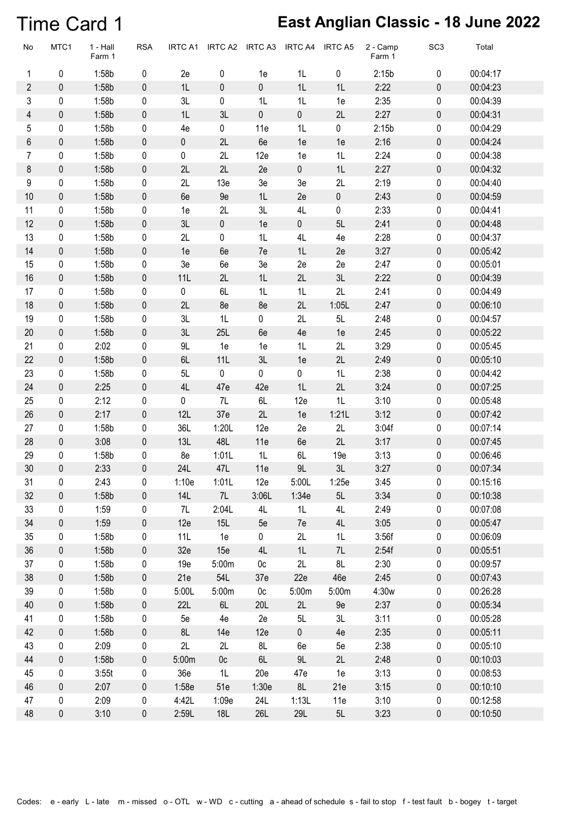#### Time Card 1 **East Anglian Classic - 18 June 2022**

| No                      | MTC1        | 1 - Hall<br>Farm 1 | <b>RSA</b> | <b>IRTC A1</b> | IRTC A2        | IRTC A3        | IRTC A4     | <b>IRTC A5</b> | 2 - Camp<br>Farm 1 | SC <sub>3</sub> | Total    |
|-------------------------|-------------|--------------------|------------|----------------|----------------|----------------|-------------|----------------|--------------------|-----------------|----------|
| 1                       | $\pmb{0}$   | 1:58b              | $\pmb{0}$  | 2e             | $\pmb{0}$      | 1e             | 1L          | $\pmb{0}$      | 2:15b              | $\pmb{0}$       | 00:04:17 |
| $\overline{2}$          | $\pmb{0}$   | 1:58b              | $\pmb{0}$  | 1L             | $\pmb{0}$      | $\pmb{0}$      | 1L          | 1L             | 2:22               | 0               | 00:04:23 |
| 3                       | 0           | 1:58b              | 0          | 3L             | $\pmb{0}$      | 1L             | 1L          | 1e             | 2:35               | 0               | 00:04:39 |
| $\overline{\mathbf{4}}$ | $\pmb{0}$   | 1:58b              | $\pmb{0}$  | 1L             | 3L             | $\pmb{0}$      | $\pmb{0}$   | 2L             | 2:27               | 0               | 00:04:31 |
| 5                       | $\pmb{0}$   | 1:58b              | 0          | 4e             | $\pmb{0}$      | 11e            | 1L          | $\pmb{0}$      | 2:15b              | $\pmb{0}$       | 00:04:29 |
| 6                       | $\pmb{0}$   | 1:58b              | $\pmb{0}$  | $\pmb{0}$      | 2L             | 6e             | 1e          | 1e             | 2:16               | 0               | 00:04:24 |
| $\overline{7}$          | $\pmb{0}$   | 1:58b              | 0          | 0              | 2L             | 12e            | 1e          | 1L             | 2:24               | $\pmb{0}$       | 00:04:38 |
| 8                       | $\pmb{0}$   | 1:58b              | $\pmb{0}$  | 2L             | 2L             | 2e             | $\pmb{0}$   | 1L             | 2:27               | 0               | 00:04:32 |
| 9                       | 0           | 1:58b              | 0          | 2L             | 13e            | $3e$           | 3e          | 2L             | 2:19               | 0               | 00:04:40 |
| $10$                    | $\pmb{0}$   | 1:58b              | $\pmb{0}$  | 6e             | 9e             | 1L             | 2e          | $\pmb{0}$      | 2:43               | 0               | 00:04:59 |
| 11                      | $\pmb{0}$   | 1:58b              | 0          | 1e             | 2L             | 3L             | 4L          | $\pmb{0}$      | 2:33               | $\pmb{0}$       | 00:04:41 |
| 12                      | $\pmb{0}$   | 1:58b              | $\pmb{0}$  | 3L             | $\pmb{0}$      | 1e             | $\pmb{0}$   | 5L             | 2:41               | 0               | 00:04:48 |
| 13                      | $\pmb{0}$   | 1:58b              | 0          | 2L             | 0              | 1L             | 4L          | 4e             | 2:28               | $\pmb{0}$       | 00:04:37 |
| 14                      | $\pmb{0}$   | 1:58b              | $\pmb{0}$  | 1e             | 6e             | 7e             | 1L          | 2e             | 3:27               | 0               | 00:05:42 |
| 15                      | 0           | 1:58b              | $\pmb{0}$  | 3e             | 6e             | 3e             | 2e          | 2e             | 2:47               | 0               | 00:05:01 |
| 16                      | $\pmb{0}$   | 1:58b              | $\pmb{0}$  | 11L            | 2L             | 1L             | 2L          | 3L             | 2:22               | 0               | 00:04:39 |
| 17                      | $\pmb{0}$   | 1:58b              | 0          | $\pmb{0}$      | 6L             | 1L             | 1L          | 2L             | 2:41               | $\pmb{0}$       | 00:04:49 |
| 18                      | $\pmb{0}$   | 1:58b              | $\pmb{0}$  | 2L             | 8e             | 8e             | 2L          | 1:05L          | 2:47               | 0               | 00:06:10 |
| 19                      | $\pmb{0}$   | 1:58b              | 0          | 3L             | 1L             | 0              | 2L          | 5L             | 2:48               | $\pmb{0}$       | 00:04:57 |
| 20                      | $\pmb{0}$   | 1:58b              | $\pmb{0}$  | 3L             | 25L            | 6e             | 4e          | 1e             | 2:45               | 0               | 00:05:22 |
| 21                      | 0           | 2:02               | 0          | $9 \mathsf{L}$ | 1e             | 1e             | 1L          | 2L             | 3:29               | 0               | 00:05:45 |
| 22                      | $\pmb{0}$   | 1:58b              | $\pmb{0}$  | $6L$           | 11L            | 3L             | 1e          | 2L             | 2:49               | 0               | 00:05:10 |
| 23                      | $\pmb{0}$   | 1:58b              | 0          | 5L             | $\pmb{0}$      | $\mathbf 0$    | $\mathbf 0$ | 1L             | 2:38               | $\pmb{0}$       | 00:04:42 |
| 24                      | $\pmb{0}$   | 2:25               | $\pmb{0}$  | 4L             | 47e            | 42e            | 1L          | 2L             | 3:24               | $\pmb{0}$       | 00:07:25 |
| 25                      | $\pmb{0}$   | 2:12               | 0          | $\pmb{0}$      | 7L             | 6L             | 12e         | 1L             | 3:10               | $\pmb{0}$       | 00:05:48 |
| 26                      | $\pmb{0}$   | 2:17               | $\pmb{0}$  | 12L            | 37e            | 2L             | 1e          | 1:21L          | 3:12               | 0               | 00:07:42 |
| 27                      | 0           | 1:58b              | 0          | 36L            | 1:20L          | 12e            | 2e          | 2L             | 3:04f              | 0               | 00:07:14 |
| 28                      | $\pmb{0}$   | 3:08               | $\pmb{0}$  | 13L            | 48L            | 11e            | 6e          | 2L             | 3:17               | 0               | 00:07:45 |
| 29                      | 0           | 1:58b              | 0          | 8e             | 1:01L          | 1L             | 6L          | 19e            | 3:13               | 0               | 00:06:46 |
| 30                      | $\mathbf 0$ | 2:33               | $\pmb{0}$  | 24L            | 47L            | 11e            | 9L          | 3L             | 3:27               | 0               | 00:07:34 |
| 31                      | 0           | 2:43               | 0          | 1:10e          | 1:01L          | 12e            | 5:00L       | 1:25e          | 3:45               | 0               | 00:15:16 |
| 32                      | 0           | 1:58b              | $\pmb{0}$  | 14L            | 7L             | 3:06L          | 1:34e       | 5L             | 3:34               | 0               | 00:10:38 |
| 33                      | 0           | 1:59               | 0          | 7L             | 2:04L          | 4L             | 1L          | 4L             | 2:49               | 0               | 00:07:08 |
| 34                      | $\pmb{0}$   | 1:59               | $\pmb{0}$  | 12e            | 15L            | 5e             | 7e          | 4L             | 3:05               | 0               | 00:05:47 |
| 35                      | 0           | 1:58b              | 0          | 11L            | 1e             | $\pmb{0}$      | 2L          | 1L             | 3:56f              | 0               | 00:06:09 |
| 36                      | $\pmb{0}$   | 1:58b              | $\pmb{0}$  | 32e            | 15e            | 4L             | 1L          | 7L             | 2:54f              | 0               | 00:05:51 |
| 37                      | $\pmb{0}$   | 1:58b              | 0          | 19e            | 5:00m          | 0 <sub>c</sub> | 2L          | 8L             | 2:30               | 0               | 00:09:57 |
| 38                      | 0           | 1:58b              | $\pmb{0}$  | 21e            | 54L            | 37e            | 22e         | 46e            | 2:45               | 0               | 00:07:43 |
| 39                      | 0           | 1:58b              | 0          | 5:00L          | 5:00m          | 0c             | 5:00m       | 5:00m          | 4:30w              | 0               | 00:26:28 |
| 40                      | $\pmb{0}$   | 1:58b              | $\pmb{0}$  | 22L            | 6L             | 20L            | 2L          | 9e             | 2:37               | 0               | 00:05:34 |
| 41                      | $\pmb{0}$   | 1:58b              | 0          | 5e             | 4e             | 2e             | 5L          | 3L             | 3:11               | 0               | 00:05:28 |
| 42                      | $\pmb{0}$   | 1:58b              | $\pmb{0}$  | 8L             | 14e            | 12e            | $\pmb{0}$   | 4e             | 2:35               | 0               | 00:05:11 |
| 43                      | 0           | 2:09               | 0          | 2L             | 2L             | 8L             | 6e          | 5e             | 2:38               | 0               | 00:05:10 |
| 44                      | 0           | 1:58b              | $\pmb{0}$  | 5:00m          | 0 <sub>c</sub> | 6L             | 9L          | 2L             | 2:48               | 0               | 00:10:03 |
| 45                      | 0           | 3:55t              | 0          | 36e            | 1L             | 20e            | 47e         | 1e             | 3:13               | 0               | 00:08:53 |
| 46                      | $\pmb{0}$   | 2:07               | $\pmb{0}$  | 1:58e          | 51e            | 1:30e          | 8L          | 21e            | 3:15               | 0               | 00:10:10 |
| 47                      | $\pmb{0}$   | 2:09               | 0          | 4:42L          | 1:09e          | 24L            | 1:13L       | 11e            | 3:10               | 0               | 00:12:58 |
| 48                      | $\pmb{0}$   | 3:10               | $\pmb{0}$  | 2:59L          | 18L            | 26L            | <b>29L</b>  | 5L             | 3:23               | 0               | 00:10:50 |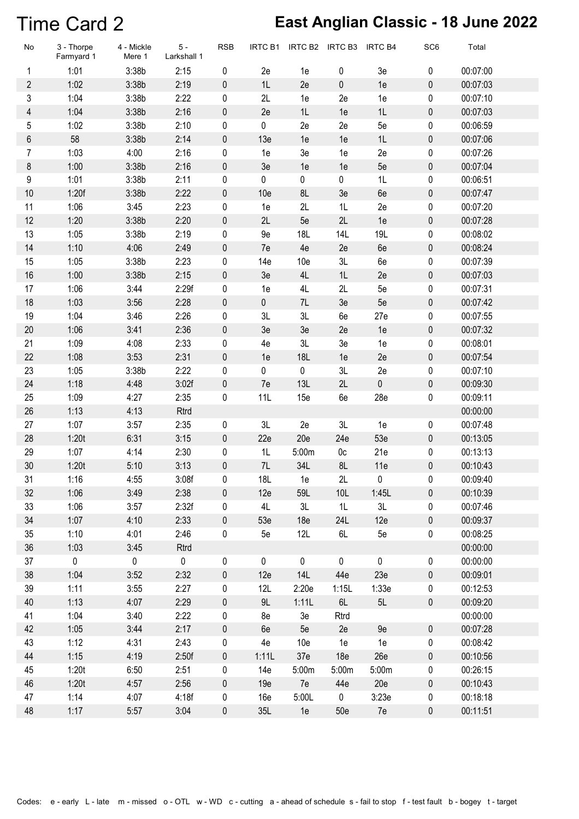#### Time Card 2 **East Anglian Classic - 18 June 2022**

| No             | 3 - Thorpe<br>Farmyard 1 | 4 - Mickle<br>Mere 1 | $5 -$<br>Larkshall 1 | <b>RSB</b> | IRTC B1         | IRTC B2         | IRTC B3        | <b>IRTC B4</b> | SC <sub>6</sub> | Total    |
|----------------|--------------------------|----------------------|----------------------|------------|-----------------|-----------------|----------------|----------------|-----------------|----------|
| 1              | 1:01                     | 3:38b                | 2:15                 | 0          | 2e              | 1e              | 0              | 3e             | 0               | 00:07:00 |
| $\overline{2}$ | 1:02                     | 3:38b                | 2:19                 | 0          | 1L              | 2e              | $\pmb{0}$      | 1e             | $\pmb{0}$       | 00:07:03 |
| 3              | 1:04                     | 3:38b                | 2:22                 | 0          | 2L              | 1e              | 2e             | 1e             | $\pmb{0}$       | 00:07:10 |
| 4              | 1:04                     | 3:38b                | 2:16                 | 0          | 2e              | 1L              | 1e             | 1L             | $\pmb{0}$       | 00:07:03 |
| 5              | 1:02                     | 3:38b                | 2:10                 | 0          | 0               | 2e              | 2e             | 5e             | 0               | 00:06:59 |
| 6              | 58                       | 3:38b                | 2:14                 | 0          | 13e             | 1e              | 1e             | 1L             | $\pmb{0}$       | 00:07:06 |
| $\overline{7}$ | 1:03                     | 4:00                 | 2:16                 | 0          | 1e              | 3e              | 1e             | 2e             | 0               | 00:07:26 |
| 8              | 1:00                     | 3:38b                | 2:16                 | 0          | 3e              | 1e              | 1e             | 5e             | $\pmb{0}$       | 00:07:04 |
| 9              | 1:01                     | 3:38b                | 2:11                 | 0          | 0               | $\pmb{0}$       | $\pmb{0}$      | 1L             | 0               | 00:06:51 |
| 10             | 1:20f                    | 3:38b                | 2:22                 | 0          | 10 <sub>e</sub> | 8L              | 3e             | 6e             | $\pmb{0}$       | 00:07:47 |
| 11             | 1:06                     | 3:45                 | 2:23                 | 0          | 1e              | 2L              | 1L             | 2e             | $\pmb{0}$       | 00:07:20 |
| 12             | 1:20                     | 3:38b                | 2:20                 | 0          | 2L              | 5e              | 2L             | 1e             | $\pmb{0}$       | 00:07:28 |
| 13             | 1:05                     | 3:38b                | 2:19                 | 0          | 9e              | <b>18L</b>      | 14L            | 19L            | 0               | 00:08:02 |
| 14             | 1:10                     | 4:06                 | 2:49                 | 0          | 7e              | 4e              | 2e             | 6e             | $\pmb{0}$       | 00:08:24 |
| 15             | 1:05                     | 3:38b                | 2:23                 | 0          | 14e             | 10e             | 3L             | 6e             | 0               | 00:07:39 |
| 16             | 1:00                     | 3:38b                | 2:15                 | 0          | 3e              | 4L              | 1L             | 2e             | $\pmb{0}$       | 00:07:03 |
| 17             | 1:06                     | 3:44                 | 2:29f                | 0          | 1e              | 4L              | 2L             | 5e             | $\pmb{0}$       | 00:07:31 |
| 18             | 1:03                     | 3:56                 | 2:28                 | 0          | $\pmb{0}$       | 7L              | 3e             | 5e             | $\pmb{0}$       | 00:07:42 |
| 19             | 1:04                     | 3:46                 | 2:26                 | 0          | 3L              | 3L              | 6e             | 27e            | 0               | 00:07:55 |
| 20             | 1:06                     | 3:41                 | 2:36                 | $\pmb{0}$  | 3e              | 3e              | 2e             | 1e             | $\pmb{0}$       | 00:07:32 |
| 21             | 1:09                     | 4:08                 | 2:33                 | 0          | 4e              | 3L              | 3e             | 1e             | 0               | 00:08:01 |
| 22             | 1:08                     | 3:53                 | 2:31                 | 0          | 1e              | 18L             | 1e             | 2e             | $\pmb{0}$       | 00:07:54 |
| 23             | 1:05                     | 3:38b                | 2:22                 | 0          | 0               | $\pmb{0}$       | 3L             | 2e             | $\pmb{0}$       | 00:07:10 |
| 24             | 1:18                     | 4:48                 | 3:02f                | 0          | 7e              | 13L             | 2L             | 0              | $\pmb{0}$       | 00:09:30 |
| 25             | 1:09                     | 4:27                 | 2:35                 | 0          | 11L             | 15e             | 6e             | 28e            | 0               | 00:09:11 |
| 26             | 1:13                     | 4:13                 | Rtrd                 |            |                 |                 |                |                |                 | 00:00:00 |
| 27             | 1:07                     | 3:57                 | 2:35                 | 0          | 3L              | 2e              | 3L             | 1e             | 0               | 00:07:48 |
| 28             | 1:20t                    | 6:31                 | 3:15                 | $\pmb{0}$  | 22e             | 20e             | 24e            | 53e            | $\pmb{0}$       | 00:13:05 |
| 29             | 1:07                     | 4:14                 | 2:30                 | 0          | 1L              | 5:00m           | 0 <sub>c</sub> | 21e            | 0               | 00:13:13 |
| 30             | 1:20t                    | 5:10                 | 3:13                 | 0          | 7L              | 34L             | 8L             | 11e            | 0               | 00:10:43 |
| 31             | 1:16                     | 4:55                 | 3:08f                | 0          | 18L             | 1e              | 2L             | 0              | 0               | 00:09:40 |
| 32             | 1:06                     | 3:49                 | 2:38                 | 0          | 12e             | 59L             | 10L            | 1:45L          | $\pmb{0}$       | 00:10:39 |
| 33             | 1:06                     | 3:57                 | 2:32f                | 0          | 4L              | 3L              | 1L             | 3L             | 0               | 00:07:46 |
| 34             | 1:07                     | 4:10                 | 2:33                 | $\pmb{0}$  | 53e             | 18 <sub>e</sub> | 24L            | 12e            | 0               | 00:09:37 |
| 35             | 1:10                     | 4:01                 | 2:46                 | 0          | 5e              | 12L             | 6L             | 5е             | 0               | 00:08:25 |
| 36             | 1:03                     | 3:45                 | Rtrd                 |            |                 |                 |                |                |                 | 00:00:00 |
| 37             | $\mathbf 0$              | $\pmb{0}$            | $\mathbf 0$          | $\pmb{0}$  | $\pmb{0}$       | $\mathbf 0$     | $\mathbf 0$    | $\pmb{0}$      | 0               | 00:00:00 |
| 38             | 1:04                     | 3:52                 | 2:32                 | $\pmb{0}$  | 12e             | 14L             | 44e            | 23e            | $\pmb{0}$       | 00:09:01 |
| 39             | 1:11                     | 3:55                 | 2:27                 | 0          | 12L             | 2:20e           | 1:15L          | 1:33e          | 0               | 00:12:53 |
| 40             | 1:13                     | 4:07                 | 2:29                 | $\pmb{0}$  | 9L              | 1:11L           | 6L             | 5L             | $\pmb{0}$       | 00:09:20 |
| 41             | 1:04                     | 3:40                 | 2:22                 | 0          | 8e              | 3e              | Rtrd           |                |                 | 00:00:00 |
| 42             | 1:05                     | 3:44                 | 2:17                 | 0          | 6e              | 5e              | 2e             | 9e             | $\pmb{0}$       | 00:07:28 |
| 43             | 1:12                     | 4:31                 | 2:43                 | $\pmb{0}$  | 4e              | 10 <sub>e</sub> | 1e             | 1e             | 0               | 00:08:42 |
| 44             | 1:15                     | 4:19                 | 2:50f                | $\pmb{0}$  | 1:11L           | 37 <sub>e</sub> | 18e            | 26e            | $\pmb{0}$       | 00:10:56 |
| 45             | 1:20t                    | 6:50                 | 2:51                 | 0          | 14e             | 5:00m           | 5:00m          | 5:00m          | 0               | 00:26:15 |
| 46             | 1:20t                    | 4:57                 | 2:56                 | $\pmb{0}$  | 19e             | 7e              | 44e            | 20e            | 0               | 00:10:43 |
| 47             | 1:14                     | 4:07                 | 4:18f                | 0          | 16e             | 5:00L           | $\pmb{0}$      | 3:23e          | 0               | 00:18:18 |
| 48             | 1:17                     | 5:57                 | 3:04                 | $\pmb{0}$  | 35L             | 1e              | 50e            | 7e             | $\pmb{0}$       | 00:11:51 |
|                |                          |                      |                      |            |                 |                 |                |                |                 |          |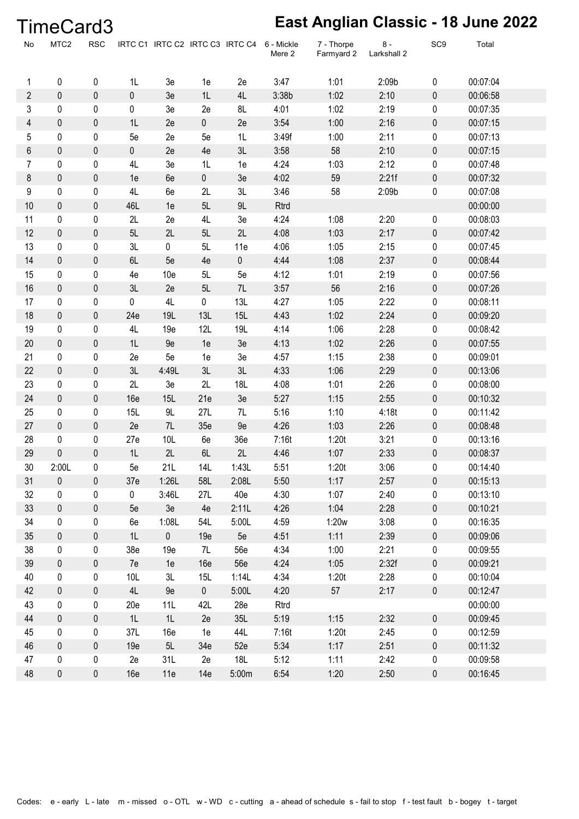|                | TimeCard3        |             |             |                                 |           |            |                      |                          |                      |                 | East Anglian Classic - 18 June 2022 |  |
|----------------|------------------|-------------|-------------|---------------------------------|-----------|------------|----------------------|--------------------------|----------------------|-----------------|-------------------------------------|--|
| No             | MTC <sub>2</sub> | <b>RSC</b>  |             | IRTC C1 IRTC C2 IRTC C3 IRTC C4 |           |            | 6 - Mickle<br>Mere 2 | 7 - Thorpe<br>Farmyard 2 | $8 -$<br>Larkshall 2 | SC <sub>9</sub> | Total                               |  |
| 1              | 0                | 0           | 1L          | 3e                              | 1e        | 2e         | 3:47                 | 1:01                     | 2:09b                | 0               | 00:07:04                            |  |
| $\overline{2}$ | $\pmb{0}$        | 0           | $\mathbf 0$ | 3e                              | 1L        | 4L         | 3:38b                | 1:02                     | 2:10                 | 0               | 00:06:58                            |  |
| 3              | 0                | 0           | 0           | 3e                              | 2e        | 8L         | 4:01                 | 1:02                     | 2:19                 | 0               | 00:07:35                            |  |
| 4              | $\boldsymbol{0}$ | 0           | 1L          | 2e                              | 0         | 2e         | 3:54                 | 1:00                     | 2:16                 | 0               | 00:07:15                            |  |
| 5              | 0                | 0           | 5e          | 2e                              | 5e        | 1L         | 3:49f                | 1:00                     | 2:11                 | 0               | 00:07:13                            |  |
| 6              | $\pmb{0}$        | 0           | 0           | 2e                              | 4e        | 3L         | 3:58                 | 58                       | 2:10                 | 0               | 00:07:15                            |  |
| 7              | 0                | 0           | 4L          | 3e                              | 1L        | 1e         | 4:24                 | 1:03                     | 2:12                 | 0               | 00:07:48                            |  |
| 8              | $\pmb{0}$        | 0           | 1e          | 6e                              | 0         | 3e         | 4:02                 | 59                       | 2:21f                | 0               | 00:07:32                            |  |
| 9              | 0                | 0           | 4L          | 6e                              | 2L        | 3L         | 3:46                 | 58                       | 2:09b                | 0               | 00:07:08                            |  |
| 10             | $\pmb{0}$        | 0           | 46L         | 1e                              | 5L        | 9L         | Rtrd                 |                          |                      |                 | 00:00:00                            |  |
| 11             | $\pmb{0}$        | 0           | 2L          | 2e                              | 4L        | 3e         | 4:24                 | 1:08                     | 2:20                 | 0               | 00:08:03                            |  |
| 12             | $\pmb{0}$        | 0           | 5L          | 2L                              | 5L        | 2L         | 4:08                 | 1:03                     | 2:17                 | 0               | 00:07:42                            |  |
| 13             | 0                | 0           | 3L          | 0                               | 5L        | 11e        | 4:06                 | 1:05                     | 2:15                 | 0               | 00:07:45                            |  |
| 14             | $\pmb{0}$        | $\pmb{0}$   | 6L          | 5e                              | 4e        | 0          | 4:44                 | 1:08                     | 2:37                 | 0               | 00:08:44                            |  |
| 15             | $\pmb{0}$        | 0           | 4e          | 10 <sub>e</sub>                 | 5L        | 5e         | 4:12                 | 1:01                     | 2:19                 | 0               | 00:07:56                            |  |
| 16             | $\pmb{0}$        | $\pmb{0}$   | 3L          | 2e                              | 5L        | 7L         | 3:57                 | 56                       | 2:16                 | 0               | 00:07:26                            |  |
| 17             | 0                | 0           | 0           | 4L                              | 0         | 13L        | 4:27                 | 1:05                     | 2:22                 | 0               | 00:08:11                            |  |
| 18             | $\boldsymbol{0}$ | $\pmb{0}$   | 24e         | 19L                             | 13L       | 15L        | 4:43                 | 1:02                     | 2:24                 | 0               | 00:09:20                            |  |
| 19             | 0                | 0           | 4L          | 19e                             | 12L       | 19L        | 4:14                 | 1:06                     | 2:28                 | 0               | 00:08:42                            |  |
| 20             | $\pmb{0}$        | 0           | 1L          | 9e                              | 1e        | 3e         | 4:13                 | 1:02                     | 2:26                 | 0               | 00:07:55                            |  |
| 21             | $\pmb{0}$        | 0           | 2e          | 5e                              | 1e        | 3e         | 4:57                 | 1:15                     | 2:38                 | 0               | 00:09:01                            |  |
| 22             | $\pmb{0}$        | 0           | 3L          | 4:49L                           | 3L        | 3L         | 4:33                 | 1:06                     | 2:29                 | 0               | 00:13:06                            |  |
| 23             | 0                | 0           | 2L          | 3e                              | 2L        | 18L        | 4:08                 | 1:01                     | 2:26                 | 0               | 00:08:00                            |  |
| 24             | $\pmb{0}$        | $\pmb{0}$   | 16e         | 15L                             | 21e       | 3e         | 5:27                 | 1:15                     | 2:55                 | 0               | 00:10:32                            |  |
| 25             | $\pmb{0}$        | $\pmb{0}$   | 15L         | 9L                              | 27L       | 7L         | 5:16                 | 1:10                     | 4:18t                | 0               | 00:11:42                            |  |
| 27             | $\pmb{0}$        | 0           | 2e          | 7L                              | 35e       | 9e         | 4:26                 | 1:03                     | 2:26                 | 0               | 00:08:48                            |  |
| 28             | 0                | 0           | 27e         | 10L                             | 6e        | 36e        | 7:16t                | 1:20t                    | 3:21                 | 0               | 00:13:16                            |  |
| 29             | $\pmb{0}$        | $\mathbf 0$ | 1L          | 2L                              | 6L        | 2L         | 4:46                 | 1:07                     | 2:33                 | $\pmb{0}$       | 00:08:37                            |  |
| 30             | 2:00L            | 0           | 5e          | 21L                             | 14L       | 1:43L      | 5:51                 | 1:20t                    | 3:06                 | 0               | 00:14:40                            |  |
| 31             | $\pmb{0}$        | 0           | 37e         | 1:26L                           | 58L       | 2:08L      | 5:50                 | 1:17                     | 2:57                 | 0               | 00:15:13                            |  |
| 32             | $\pmb{0}$        | 0           | $\pmb{0}$   | 3:46L                           | 27L       | 40e        | 4:30                 | 1:07                     | 2:40                 | 0               | 00:13:10                            |  |
| 33             | $\pmb{0}$        | 0           | 5e          | 3e                              | 4e        | 2:11L      | 4:26                 | 1:04                     | 2:28                 | 0               | 00:10:21                            |  |
| 34             | $\pmb{0}$        | 0           | 6e          | 1:08L                           | 54L       | 5:00L      | 4:59                 | 1:20w                    | 3:08                 | 0               | 00:16:35                            |  |
| 35             | $\pmb{0}$        | 0           | 1L          | $\mathbf 0$                     | 19e       | 5e         | 4:51                 | 1:11                     | 2:39                 | 0               | 00:09:06                            |  |
| 38             | $\pmb{0}$        | 0           | 38e         | 19e                             | 7L        | <b>56e</b> | 4:34                 | 1:00                     | 2:21                 | 0               | 00:09:55                            |  |
| 39             | $\pmb{0}$        | 0           | 7e          | 1e                              | 16e       | <b>56e</b> | 4:24                 | 1:05                     | 2:32f                | 0               | 00:09:21                            |  |
| 40             | $\pmb{0}$        | 0           | 10L         | 3L                              | 15L       | 1:14L      | 4:34                 | 1:20t                    | 2:28                 | 0               | 00:10:04                            |  |
| 42             | $\pmb{0}$        | 0           | 4L          | 9e                              | $\pmb{0}$ | 5:00L      | 4:20                 | 57                       | 2:17                 | 0               | 00:12:47                            |  |
| 43             | $\pmb{0}$        | 0           | 20e         | 11L                             | 42L       | 28e        | Rtrd                 |                          |                      |                 | 00:00:00                            |  |
| 44             | $\pmb{0}$        | 0           | 1L          | 1L                              | 2e        | 35L        | 5:19                 | 1:15                     | 2:32                 | 0               | 00:09:45                            |  |
| 45             | 0                | 0           | 37L         | 16e                             | 1e        | 44L        | 7:16t                | 1:20t                    | 2:45                 | 0               | 00:12:59                            |  |
| 46             | 0                | 0           | 19e         | 5L                              | 34e       | 52e        | 5:34                 | 1:17                     | 2:51                 | 0               | 00:11:32                            |  |
| 47             | $\pmb{0}$        | 0           | 2e          | 31L                             | 2e        | 18L        | 5:12                 | 1:11                     | 2:42                 | 0               | 00:09:58                            |  |
| 48             | $\pmb{0}$        | 0           | 16e         | 11e                             | 14e       | 5:00m      | 6:54                 | 1:20                     | 2:50                 | 0               | 00:16:45                            |  |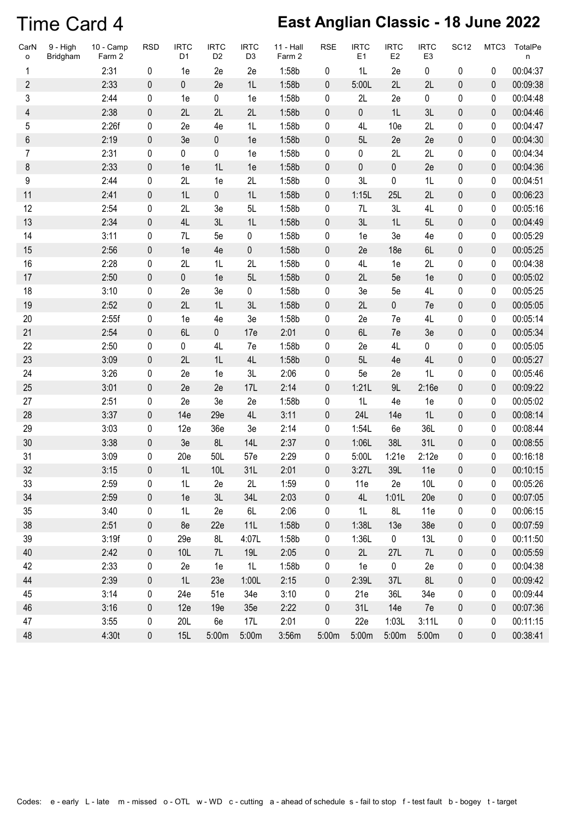### Time Card 4 **East Anglian Classic - 18 June 2022**

| CarN<br>o      | 9 - High<br>Bridgham | $10 - Camp$<br>Farm 2 | <b>RSD</b> | <b>IRTC</b><br>D <sub>1</sub> | <b>IRTC</b><br>D <sub>2</sub> | <b>IRTC</b><br>D <sub>3</sub> | $11 - Hall$<br>Farm 2 | <b>RSE</b>  | <b>IRTC</b><br>E <sub>1</sub> | <b>IRTC</b><br>E2 | <b>IRTC</b><br>E <sub>3</sub> | <b>SC12</b> | MTC3        | TotalPe<br>n |
|----------------|----------------------|-----------------------|------------|-------------------------------|-------------------------------|-------------------------------|-----------------------|-------------|-------------------------------|-------------------|-------------------------------|-------------|-------------|--------------|
| 1              |                      | 2:31                  | 0          | 1e                            | 2e                            | 2e                            | 1:58b                 | 0           | 1L                            | 2e                | 0                             | 0           | 0           | 00:04:37     |
| $\overline{2}$ |                      | 2:33                  | 0          | $\mathbf 0$                   | 2e                            | 1L                            | 1:58b                 | 0           | 5:00L                         | 2L                | 2L                            | $\mathbf 0$ | 0           | 00:09:38     |
| 3              |                      | 2:44                  | 0          | 1e                            | 0                             | 1e                            | 1:58b                 | 0           | 2L                            | 2e                | 0                             | 0           | 0           | 00:04:48     |
| 4              |                      | 2:38                  | 0          | 2L                            | 2L                            | 2L                            | 1:58b                 | 0           | $\pmb{0}$                     | 1L                | 3L                            | $\pmb{0}$   | 0           | 00:04:46     |
| 5              |                      | 2:26f                 | 0          | 2e                            | 4e                            | 1L                            | 1:58b                 | 0           | 4L                            | 10 <sub>e</sub>   | 2L                            | 0           | 0           | 00:04:47     |
| 6              |                      | 2:19                  | $\pmb{0}$  | 3e                            | $\pmb{0}$                     | 1e                            | 1:58b                 | 0           | 5L                            | 2e                | 2e                            | $\pmb{0}$   | 0           | 00:04:30     |
| $\overline{7}$ |                      | 2:31                  | 0          | 0                             | 0                             | 1e                            | 1:58b                 | 0           | 0                             | 2L                | 2L                            | 0           | 0           | 00:04:34     |
| 8              |                      | 2:33                  | 0          | 1e                            | 1L                            | 1e                            | 1:58b                 | $\pmb{0}$   | $\mathbf 0$                   | 0                 | 2e                            | $\mathbf 0$ | 0           | 00:04:36     |
| 9              |                      | 2:44                  | 0          | 2L                            | 1e                            | 2L                            | 1:58b                 | 0           | 3L                            | 0                 | 1L                            | 0           | 0           | 00:04:51     |
| 11             |                      | 2:41                  | 0          | 1L                            | $\pmb{0}$                     | 1L                            | 1:58b                 | $\pmb{0}$   | 1:15L                         | 25L               | 2L                            | $\pmb{0}$   | 0           | 00:06:23     |
| 12             |                      | 2:54                  | 0          | 2L                            | 3e                            | 5L                            | 1:58b                 | 0           | 7L                            | 3L                | 4L                            | 0           | 0           | 00:05:16     |
| 13             |                      | 2:34                  | 0          | 4L                            | 3L                            | 1L                            | 1:58b                 | 0           | 3L                            | 1L                | 5L                            | $\pmb{0}$   | 0           | 00:04:49     |
| 14             |                      | 3:11                  | 0          | 7L                            | 5e                            | 0                             | 1:58b                 | 0           | 1e                            | 3e                | 4e                            | 0           | 0           | 00:05:29     |
| 15             |                      | 2:56                  | 0          | 1e                            | 4e                            | 0                             | 1:58b                 | $\pmb{0}$   | 2e                            | 18 <sub>e</sub>   | 6L                            | $\pmb{0}$   | 0           | 00:05:25     |
| 16             |                      | 2:28                  | 0          | 2L                            | 1L                            | 2L                            | 1:58b                 | 0           | 4L                            | 1e                | 2L                            | 0           | 0           | 00:04:38     |
| 17             |                      | 2:50                  | 0          | 0                             | 1e                            | 5L                            | 1:58b                 | 0           | 2L                            | 5e                | 1e                            | $\pmb{0}$   | 0           | 00:05:02     |
| 18             |                      | 3:10                  | 0          | 2e                            | 3e                            | 0                             | 1:58b                 | 0           | 3e                            | 5e                | 4L                            | 0           | 0           | 00:05:25     |
| 19             |                      | 2:52                  | 0          | 2L                            | 1L                            | 3L                            | 1:58b                 | 0           | 2L                            | 0                 | 7e                            | $\pmb{0}$   | 0           | 00:05:05     |
| 20             |                      | 2:55f                 | 0          | 1e                            | 4e                            | 3e                            | 1:58b                 | 0           | 2e                            | 7e                | 4L                            | 0           | 0           | 00:05:14     |
| 21             |                      | 2:54                  | $\pmb{0}$  | 6L                            | 0                             | 17e                           | 2:01                  | 0           | 6L                            | 7e                | 3e                            | $\pmb{0}$   | 0           | 00:05:34     |
| 22             |                      | 2:50                  | 0          | 0                             | 4L                            | 7e                            | 1:58b                 | 0           | 2e                            | 4L                | 0                             | 0           | 0           | 00:05:05     |
| 23             |                      | 3:09                  | 0          | 2L                            | 1L                            | 4L                            | 1:58b                 | 0           | 5L                            | 4e                | 4L                            | $\mathbf 0$ | 0           | 00:05:27     |
| 24             |                      | 3:26                  | 0          | 2e                            | 1e                            | 3L                            | 2:06                  | 0           | 5e                            | 2e                | 1L                            | 0           | 0           | 00:05:46     |
| 25             |                      | 3:01                  | 0          | 2e                            | 2e                            | 17L                           | 2:14                  | 0           | 1:21L                         | 9L                | 2:16e                         | $\pmb{0}$   | 0           | 00:09:22     |
| 27             |                      | 2:51                  | 0          | 2e                            | 3e                            | 2e                            | 1:58b                 | 0           | 1L                            | 4e                | 1e                            | 0           | 0           | 00:05:02     |
| 28             |                      | 3:37                  | 0          | 14e                           | 29e                           | 4L                            | 3:11                  | 0           | 24L                           | 14e               | 1L                            | $\pmb{0}$   | 0           | 00:08:14     |
| 29             |                      | 3:03                  | 0          | 12e                           | 36e                           | 3e                            | 2:14                  | 0           | 1:54L                         | 6e                | 36L                           | 0           | 0           | 00:08:44     |
| 30             |                      | 3:38                  | 0          | 3e                            | 8L                            | <b>14L</b>                    | 2:37                  | $\pmb{0}$   | 1:06L                         | 38L               | 31L                           | $\pmb{0}$   | 0           | 00:08:55     |
| 31             |                      | 3:09                  | 0          | 20e                           | 50L                           | 57e                           | 2:29                  | 0           | 5:00L                         | 1:21e             | 2:12e                         | 0           | 0           | 00:16:18     |
| 32             |                      | 3:15                  | 0          | 1L                            | 10L                           | 31L                           | 2:01                  | $\mathbf 0$ | 3:27L                         | 39L               | 11e                           | 0           | $\mathbf 0$ | 00:10:15     |
| 33             |                      | 2:59                  | 0          | 1L                            | 2e                            | 2L                            | 1:59                  | 0           | 11e                           | 2e                | 10L                           | 0           | 0           | 00:05:26     |
| 34             |                      | 2:59                  | 0          | 1e                            | 3L                            | 34L                           | 2:03                  | 0           | 4L                            | 1:01L             | 20e                           | $\pmb{0}$   | 0           | 00:07:05     |
| 35             |                      | 3:40                  | 0          | 1L                            | 2e                            | 6L                            | 2:06                  | 0           | 1L                            | 8L                | 11e                           | 0           | 0           | 00:06:15     |
| 38             |                      | 2:51                  | 0          | 8e                            | 22e                           | 11L                           | 1:58b                 | 0           | 1:38L                         | 13e               | 38e                           | 0           | 0           | 00:07:59     |
| 39             |                      | 3:19f                 | 0          | 29e                           | 8L                            | 4:07L                         | 1:58b                 | 0           | 1:36L                         | $\pmb{0}$         | 13L                           | 0           | 0           | 00:11:50     |
| 40             |                      | 2:42                  | 0          | 10L                           | 7L                            | 19L                           | 2:05                  | 0           | 2L                            | 27L               | 7L                            | $\pmb{0}$   | 0           | 00:05:59     |
| 42             |                      | 2:33                  | 0          | 2e                            | 1e                            | 1L                            | 1:58b                 | 0           | 1e                            | 0                 | 2e                            | 0           | 0           | 00:04:38     |
| 44             |                      | 2:39                  | 0          | 1L                            | 23e                           | 1:00L                         | 2:15                  | $\pmb{0}$   | 2:39L                         | 37L               | 8L                            | 0           | 0           | 00:09:42     |
| 45             |                      | 3:14                  | 0          | 24e                           | 51e                           | 34e                           | 3:10                  | 0           | 21e                           | 36L               | 34e                           | 0           | 0           | 00:09:44     |
| 46             |                      | 3:16                  | 0          | 12e                           | 19e                           | 35e                           | 2:22                  | 0           | 31L                           | 14e               | 7e                            | 0           | 0           | 00:07:36     |
| 47             |                      | 3:55                  | 0          | 20L                           | 6e                            | 17L                           | 2:01                  | 0           | 22e                           | 1:03L             | 3:11L                         | 0           | 0           | 00:11:15     |
| 48             |                      | 4:30t                 | 0          | 15L                           | 5:00m                         | 5:00m                         | 3:56m                 | 5:00m       | 5:00m                         | 5:00m             | 5:00m                         | $\pmb{0}$   | 0           | 00:38:41     |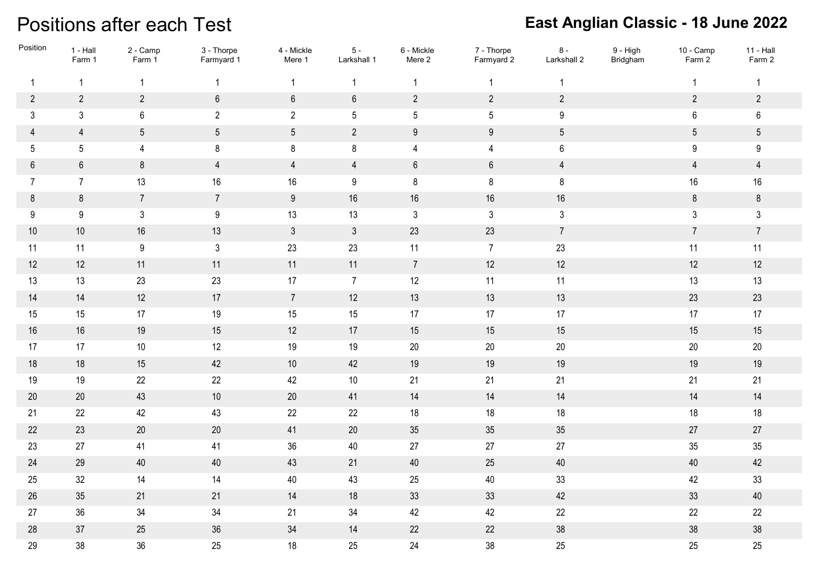### Positions after each Test

| Position       | $1 - Hall$<br>Farm 1 | 2 - Camp<br>Farm 1 | 3 - Thorpe<br>Farmyard 1 | 4 - Mickle<br>Mere 1 | $5 -$<br>Larkshall 1 | 6 - Mickle<br>Mere 2 | 7 - Thorpe<br>Farmyard 2 | $8 -$<br>Larkshall 2 | 9 - High<br>Bridgham | 10 - Camp<br>Farm 2 | $11 - Hall$<br>Farm 2 |
|----------------|----------------------|--------------------|--------------------------|----------------------|----------------------|----------------------|--------------------------|----------------------|----------------------|---------------------|-----------------------|
| $\mathbf{1}$   | $\mathbf{1}$         | $\mathbf{1}$       | $\mathbf{1}$             | $\mathbf{1}$         | $\overline{1}$       | -1                   | $\mathbf{1}$             | $\mathbf 1$          |                      | $\mathbf{1}$        | $\overline{1}$        |
| $\sqrt{2}$     | $\overline{2}$       | $\overline{2}$     | $6\,$                    | $\,6\,$              | $\boldsymbol{6}$     | $\overline{2}$       | $\overline{2}$           | $\overline{2}$       |                      | $\overline{2}$      | $\overline{2}$        |
| 3              | $\mathfrak{Z}$       | 6                  | $\overline{2}$           | $\overline{2}$       | $5\phantom{.0}$      | 5                    | $5\phantom{.0}$          | $9\,$                |                      | 6                   | $\boldsymbol{6}$      |
| 4              | $\overline{4}$       | $5\phantom{.0}$    | $5\phantom{.0}$          | $5\,$                | $\overline{2}$       | $9\,$                | 9                        | $5\phantom{.0}$      |                      | $\sqrt{5}$          | $\sqrt{5}$            |
| 5              | $5\phantom{.0}$      | $\overline{4}$     | 8                        | 8                    | $\bf 8$              | 4                    | 4                        | $6\phantom{.0}$      |                      | 9                   | 9                     |
| $6\phantom{.}$ | $\,6\,$              | $\bf 8$            | $\overline{4}$           | $\overline{4}$       | $\overline{4}$       | $6\,$                | $\,6\,$                  | $\overline{4}$       |                      | $\overline{4}$      | $\overline{4}$        |
| $\overline{7}$ | $\overline{7}$       | 13                 | 16                       | 16                   | $9\,$                | 8                    | 8                        | $\bf 8$              |                      | $16\,$              | 16                    |
| 8              | $\bf 8$              | $\overline{7}$     | $\overline{7}$           | $9\,$                | $16\,$               | $16\,$               | 16                       | $16\,$               |                      | $\bf 8$             | $\, 8$                |
| 9              | 9                    | $\mathbf{3}$       | $9\,$                    | 13                   | 13                   | $\mathfrak{Z}$       | $\mathbf{3}$             | $\mathfrak{Z}$       |                      | $\mathfrak{Z}$      | $\mathbf{3}$          |
| $10$           | $10$                 | 16                 | 13                       | $3\phantom{a}$       | $\mathfrak{Z}$       | 23                   | 23                       | $7\overline{ }$      |                      | $\overline{7}$      | $\overline{7}$        |
| 11             | 11                   | $9\,$              | $\mathfrak{Z}$           | 23                   | 23                   | 11                   | $\overline{7}$           | 23                   |                      | 11                  | 11                    |
| 12             | 12                   | 11                 | 11                       | 11                   | 11                   | $7\overline{ }$      | 12                       | $12$                 |                      | 12                  | 12                    |
| 13             | 13                   | 23                 | 23                       | 17                   | $\overline{7}$       | 12                   | 11                       | 11                   |                      | 13                  | 13                    |
| 14             | 14                   | 12                 | 17                       | $\overline{7}$       | 12                   | 13                   | 13                       | $13$                 |                      | 23                  | 23                    |
| 15             | 15                   | 17                 | 19                       | 15                   | 15                   | 17                   | 17                       | 17                   |                      | 17                  | 17                    |
| 16             | 16                   | 19                 | 15                       | 12                   | 17                   | 15                   | 15                       | 15                   |                      | 15                  | 15                    |
| 17             | 17                   | $10\,$             | 12                       | 19                   | $19$                 | $20\,$               | $20\,$                   | $20\,$               |                      | $20\,$              | $20\,$                |
| 18             | $18$                 | 15                 | 42                       | $10\,$               | 42                   | $19$                 | 19                       | $19$                 |                      | $19$                | $19$                  |
| 19             | 19                   | 22                 | 22                       | 42                   | $10$                 | 21                   | 21                       | 21                   |                      | 21                  | 21                    |
| $20\,$         | $20\,$               | 43                 | $10$                     | $20\,$               | 41                   | 14                   | 14                       | 14                   |                      | 14                  | 14                    |
| 21             | 22                   | 42                 | 43                       | 22                   | $22\,$               | $18$                 | 18                       | $18$                 |                      | $18$                | $18$                  |
| 22             | 23                   | $20\,$             | $20\,$                   | 41                   | $20\,$               | $35\,$               | 35                       | $35\,$               |                      | 27                  | 27                    |
| 23             | 27                   | 41                 | 41                       | $36\,$               | 40                   | $27\,$               | 27                       | $27\,$               |                      | 35                  | 35                    |
| 24             | 29                   | 40                 | 40                       | 43                   | 21                   | 40                   | 25                       | $40\,$               |                      | 40                  | 42                    |
| 25             | 32                   | 14                 | 14                       | $40\,$               | 43                   | $25\,$               | 40                       | 33                   |                      | 42                  | 33                    |
| 26             | $35\,$               | 21                 | 21                       | $14$                 | $18$                 | 33                   | 33                       | 42                   |                      | 33                  | 40                    |
| 27             | 36                   | $34\,$             | 34                       | 21                   | 34                   | 42                   | 42                       | 22                   |                      | 22                  | 22                    |
| 28             | $37\,$               | $25\,$             | $36\,$                   | $34\,$               | 14                   | 22                   | 22                       | $38\,$               |                      | $38\,$              | $38\,$                |
| 29             | 38                   | 36                 | 25                       | 18                   | 25                   | 24                   | 38                       | 25                   |                      | 25                  | 25                    |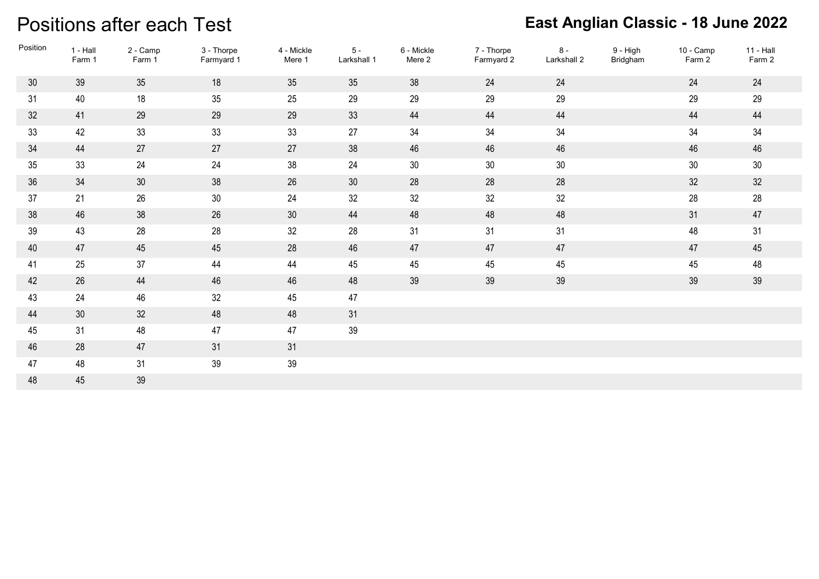#### Positions after each Test

| Position | 1 - Hall<br>Farm 1 | 2 - Camp<br>Farm 1 | 3 - Thorpe<br>Farmyard 1 | 4 - Mickle<br>Mere 1 | $5 -$<br>Larkshall 1 | 6 - Mickle<br>Mere 2 | 7 - Thorpe<br>Farmyard 2 | $8 -$<br>Larkshall 2 | 9 - High<br>Bridgham | 10 - Camp<br>Farm 2 | 11 - Hall<br>Farm 2 |
|----------|--------------------|--------------------|--------------------------|----------------------|----------------------|----------------------|--------------------------|----------------------|----------------------|---------------------|---------------------|
| 30       | 39                 | 35                 | 18                       | 35                   | 35                   | 38                   | 24                       | 24                   |                      | 24                  | 24                  |
| 31       | 40                 | $18$               | 35                       | 25                   | 29                   | 29                   | 29                       | 29                   |                      | 29                  | 29                  |
| 32       | 41                 | 29                 | 29                       | 29                   | 33                   | 44                   | 44                       | 44                   |                      | 44                  | 44                  |
| 33       | 42                 | 33                 | 33                       | 33                   | $27\,$               | 34                   | 34                       | 34                   |                      | $34\,$              | 34                  |
| 34       | 44                 | 27                 | 27                       | 27                   | 38                   | 46                   | 46                       | 46                   |                      | 46                  | 46                  |
| 35       | 33                 | 24                 | 24                       | $38\,$               | 24                   | $30\,$               | 30                       | $30\,$               |                      | $30\,$              | $30\,$              |
| 36       | 34                 | 30 <sup>°</sup>    | 38                       | 26                   | 30                   | 28                   | 28                       | 28                   |                      | 32                  | 32                  |
| 37       | 21                 | 26                 | 30                       | 24                   | 32                   | 32                   | 32                       | 32                   |                      | 28                  | 28                  |
| 38       | 46                 | 38                 | 26                       | 30 <sup>°</sup>      | 44                   | 48                   | 48                       | 48                   |                      | 31                  | 47                  |
| 39       | 43                 | 28                 | 28                       | 32                   | 28                   | 31                   | 31                       | 31                   |                      | 48                  | 31                  |
| 40       | 47                 | 45                 | 45                       | 28                   | 46                   | 47                   | 47                       | 47                   |                      | 47                  | 45                  |
| 41       | 25                 | 37                 | 44                       | 44                   | 45                   | 45                   | 45                       | 45                   |                      | 45                  | 48                  |
| 42       | 26                 | 44                 | 46                       | 46                   | 48                   | 39                   | 39                       | 39                   |                      | 39                  | 39                  |
| 43       | 24                 | 46                 | 32                       | 45                   | 47                   |                      |                          |                      |                      |                     |                     |
| 44       | $30\,$             | 32                 | 48                       | 48                   | 31                   |                      |                          |                      |                      |                     |                     |
| 45       | 31                 | 48                 | 47                       | 47                   | 39                   |                      |                          |                      |                      |                     |                     |
| 46       | 28                 | 47                 | 31                       | 31                   |                      |                      |                          |                      |                      |                     |                     |
| 47       | 48                 | 31                 | 39                       | $39\,$               |                      |                      |                          |                      |                      |                     |                     |
| 48       | 45                 | 39                 |                          |                      |                      |                      |                          |                      |                      |                     |                     |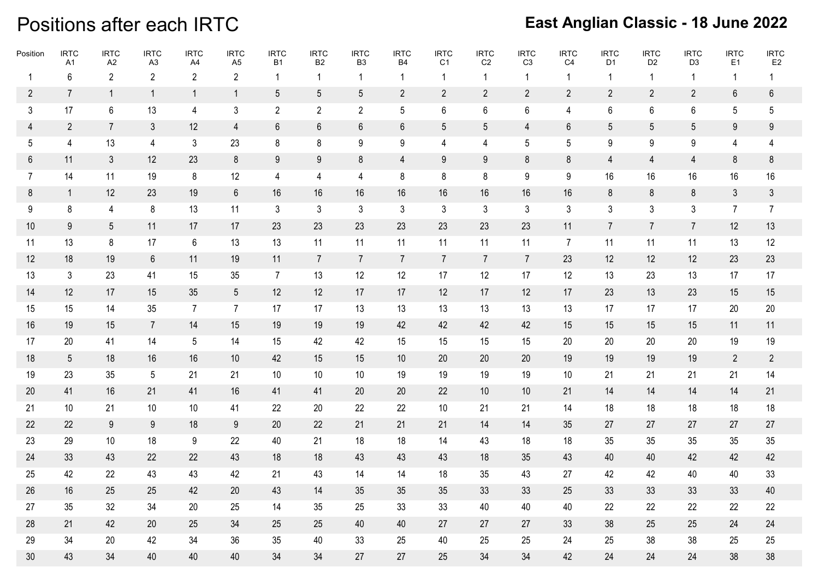### Positions after each IRTC

| Position        | <b>IRTC</b><br>A1 | <b>IRTC</b><br>A2 | <b>IRTC</b><br>A3 | <b>IRTC</b><br>A4 | <b>IRTC</b><br>A <sub>5</sub> | <b>IRTC</b><br><b>B1</b> | <b>IRTC</b><br><b>B2</b> | <b>IRTC</b><br>B <sub>3</sub> | <b>IRTC</b><br><b>B4</b> | <b>IRTC</b><br>C <sub>1</sub> | <b>IRTC</b><br>C <sub>2</sub> | <b>IRTC</b><br>C <sub>3</sub> | <b>IRTC</b><br>C <sub>4</sub> | <b>IRTC</b><br>D <sub>1</sub> | <b>IRTC</b><br>D <sub>2</sub> | <b>IRTC</b><br>D <sub>3</sub> | <b>IRTC</b><br>E1 | <b>IRTC</b><br>E <sub>2</sub> |
|-----------------|-------------------|-------------------|-------------------|-------------------|-------------------------------|--------------------------|--------------------------|-------------------------------|--------------------------|-------------------------------|-------------------------------|-------------------------------|-------------------------------|-------------------------------|-------------------------------|-------------------------------|-------------------|-------------------------------|
| $\mathbf{1}$    | 6                 | $\overline{2}$    | $\overline{2}$    | $\overline{2}$    | 2                             | 1                        | $\mathbf 1$              | 1                             | -1                       | -1                            | -1                            |                               | 1                             | -1                            | -1                            | -1                            | $\overline{1}$    | 1                             |
| $\overline{2}$  | $\overline{7}$    | $\overline{1}$    | $\overline{1}$    | $\overline{1}$    | $\mathbf{1}$                  | $5\phantom{.0}$          | 5                        | 5                             | $\overline{2}$           | $\overline{2}$                | $\overline{2}$                | $\overline{2}$                | $\overline{2}$                | $\overline{2}$                | $\overline{2}$                | $\overline{2}$                | $6\,$             | 6                             |
| $\mathfrak{Z}$  | 17                | 6                 | 13                | 4                 | $\mathbf{3}$                  | $\overline{2}$           | $\overline{2}$           | $\overline{2}$                | 5                        | 6                             | 6                             | 6                             | 4                             | 6                             | 6                             | 6                             | $5\,$             | $5\overline{)}$               |
| $\overline{4}$  | $\overline{2}$    | $\overline{7}$    | 3                 | 12                | $\overline{4}$                | 6                        | 6                        | 6                             | 6                        | 5                             | 5                             | 4                             | 6                             | 5                             | 5                             | 5                             | 9                 | 9                             |
| 5               | 4                 | 13                | 4                 | 3                 | 23                            | 8                        | 8                        | 9                             | 9                        | 4                             | 4                             | 5                             | 5                             | 9                             | 9                             | 9                             | 4                 | 4                             |
| 6               | 11                | $\mathbf{3}$      | 12                | 23                | 8                             | 9                        | 9                        | 8                             | 4                        | 9                             | 9                             | 8                             | 8                             | 4                             | 4                             | $\overline{4}$                | 8                 | 8                             |
| 7               | 14                | 11                | 19                | 8                 | 12                            | 4                        | 4                        | 4                             | 8                        | 8                             | 8                             | 9                             | 9                             | 16                            | 16                            | 16                            | 16                | 16                            |
| 8               | $\mathbf{1}$      | 12                | 23                | 19                | $6\phantom{.}6$               | 16                       | 16                       | 16                            | 16                       | 16                            | 16                            | 16                            | 16                            | 8                             | 8                             | 8                             | 3                 | $\mathfrak{Z}$                |
| 9               | 8                 | 4                 | 8                 | 13                | 11                            | $\mathbf{3}$             | 3                        | 3                             | 3                        | $\mathbf{3}$                  | 3                             | 3                             | 3                             | 3                             | 3                             | 3                             | $\overline{7}$    | $\overline{7}$                |
| 10              | 9                 | $5\phantom{.0}$   | 11                | 17                | 17                            | 23                       | 23                       | 23                            | 23                       | 23                            | 23                            | 23                            | 11                            | $\overline{7}$                | $\overline{7}$                | 7                             | 12                | 13                            |
| 11              | 13                | 8                 | 17                | 6                 | 13                            | 13                       | 11                       | 11                            | 11                       | 11                            | 11                            | 11                            | $\overline{7}$                | 11                            | 11                            | 11                            | 13                | 12                            |
| 12              | 18                | 19                | 6                 | 11                | 19                            | 11                       | $\overline{7}$           | $\overline{7}$                | $\overline{7}$           | $\overline{7}$                | $\overline{7}$                | 7 <sup>1</sup>                | 23                            | 12                            | 12                            | 12                            | 23                | 23                            |
| 13              | $\mathbf{3}$      | 23                | 41                | 15                | 35                            | $\overline{7}$           | 13                       | 12                            | 12                       | 17                            | 12                            | 17                            | 12                            | 13                            | 23                            | 13                            | 17                | 17                            |
| 14              | 12                | 17                | 15                | 35                | $5\overline{)}$               | 12                       | 12                       | 17                            | 17                       | 12                            | 17                            | 12                            | 17                            | 23                            | 13                            | 23                            | 15                | 15                            |
| 15              | 15                | 14                | 35                | $\overline{7}$    | $\overline{7}$                | 17                       | 17                       | 13                            | 13                       | 13                            | 13                            | 13                            | 13                            | 17                            | 17                            | 17                            | 20                | $20\,$                        |
| 16              | 19                | 15                | $\overline{7}$    | 14                | 15                            | 19                       | 19                       | 19                            | 42                       | 42                            | 42                            | 42                            | 15                            | 15                            | 15                            | 15                            | 11                | 11                            |
| 17              | 20                | 41                | 14                | 5                 | 14                            | 15                       | 42                       | 42                            | 15                       | 15                            | 15                            | 15                            | 20                            | 20                            | 20                            | 20                            | 19                | 19                            |
| 18              | $5\overline{)}$   | 18                | 16                | 16                | 10                            | 42                       | 15                       | 15                            | 10                       | 20                            | 20                            | 20                            | 19                            | 19                            | 19                            | 19                            | 2                 | $\overline{2}$                |
| 19              | 23                | 35                | 5                 | 21                | 21                            | 10                       | 10                       | 10                            | 19                       | 19                            | 19                            | 19                            | 10                            | 21                            | 21                            | 21                            | 21                | 14                            |
| 20              | 41                | 16                | 21                | 41                | 16                            | 41                       | 41                       | 20                            | 20                       | 22                            | 10                            | 10                            | 21                            | 14                            | 14                            | 14                            | 14                | 21                            |
| 21              | 10 <sup>°</sup>   | 21                | 10                | 10                | 41                            | 22                       | 20                       | 22                            | 22                       | 10                            | 21                            | 21                            | 14                            | 18                            | 18                            | 18                            | 18                | 18                            |
| 22              | 22                | 9                 | 9                 | 18                | 9                             | 20                       | 22                       | 21                            | 21                       | 21                            | 14                            | 14                            | 35                            | 27                            | 27                            | 27                            | 27                | 27                            |
| 23              | 29                | 10                | 18                | 9                 | 22                            | 40                       | 21                       | 18                            | 18                       | 14                            | 43                            | 18                            | 18                            | 35                            | 35                            | 35                            | 35                | 35                            |
| 24              | 33                | 43                | 22                | 22                | 43                            | 18                       | 18                       | 43                            | 43                       | 43                            | 18                            | 35                            | 43                            | 40                            | 40                            | 42                            | 42                | 42                            |
| 25              | 42                | 22                | 43                | 43                | 42                            | 21                       | 43                       | 14                            | 14                       | 18                            | 35                            | 43                            | 27                            | 42                            | 42                            | 40                            | 40                | 33                            |
| 26              | 16                | 25                | 25                | 42                | $20\,$                        | 43                       | 14                       | 35                            | 35                       | 35                            | 33                            | 33                            | 25                            | 33                            | 33                            | 33                            | 33                | 40                            |
| 27              | 35                | 32                | 34                | 20                | 25                            | 14                       | 35                       | 25                            | 33                       | 33                            | 40                            | 40                            | 40                            | 22                            | 22                            | 22                            | 22                | 22                            |
| 28              | 21                | 42                | 20                | 25                | 34                            | 25                       | 25                       | 40                            | 40                       | 27                            | 27                            | 27                            | 33                            | 38                            | 25                            | 25                            | 24                | 24                            |
| 29              | 34                | 20                | 42                | 34                | 36                            | 35                       | 40                       | 33                            | 25                       | 40                            | 25                            | 25                            | 24                            | 25                            | 38                            | 38                            | 25                | $25\,$                        |
| 30 <sup>°</sup> | 43                | 34                | 40                | 40                | 40                            | 34                       | 34                       | 27                            | 27                       | 25                            | 34                            | 34                            | 42                            | 24                            | 24                            | 24                            | 38                | $38\,$                        |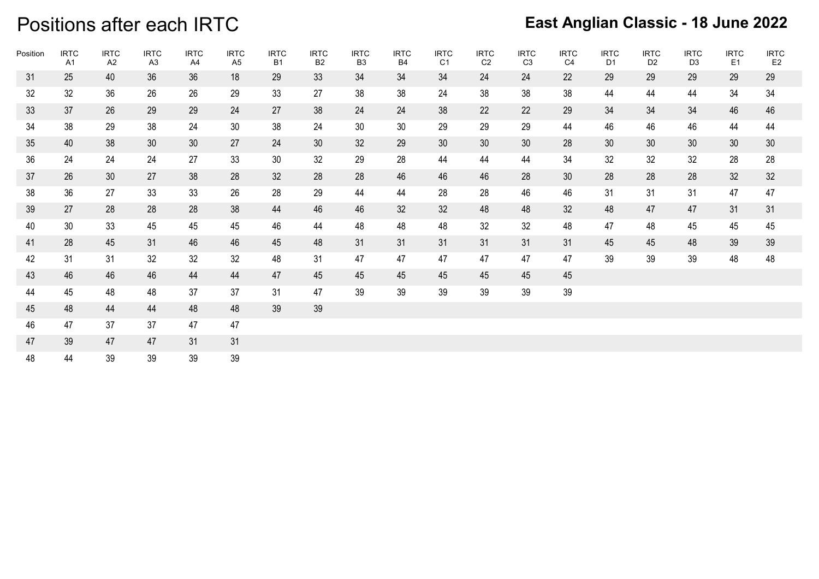### Positions after each IRTC

| Position | <b>IRTC</b><br>A1 | <b>IRTC</b><br>A2 | <b>IRTC</b><br>A <sub>3</sub> | <b>IRTC</b><br>A4 | <b>IRTC</b><br>A <sub>5</sub> | <b>IRTC</b><br><b>B1</b> | <b>IRTC</b><br><b>B2</b> | <b>IRTC</b><br>B <sub>3</sub> | <b>IRTC</b><br><b>B4</b> | <b>IRTC</b><br>C1 | <b>IRTC</b><br>C <sub>2</sub> | <b>IRTC</b><br>C <sub>3</sub> | <b>IRTC</b><br>C4 | <b>IRTC</b><br>D <sub>1</sub> | <b>IRTC</b><br>D <sub>2</sub> | <b>IRTC</b><br>D <sub>3</sub> | <b>IRTC</b><br>E1 | <b>IRTC</b><br>E <sub>2</sub> |
|----------|-------------------|-------------------|-------------------------------|-------------------|-------------------------------|--------------------------|--------------------------|-------------------------------|--------------------------|-------------------|-------------------------------|-------------------------------|-------------------|-------------------------------|-------------------------------|-------------------------------|-------------------|-------------------------------|
| 31       | 25                | 40                | 36                            | 36                | 18                            | 29                       | 33                       | 34                            | 34                       | 34                | 24                            | 24                            | 22                | 29                            | 29                            | 29                            | 29                | 29                            |
| 32       | 32                | 36                | 26                            | 26                | 29                            | 33                       | 27                       | 38                            | 38                       | 24                | 38                            | 38                            | 38                | 44                            | 44                            | 44                            | 34                | 34                            |
| 33       | 37                | 26                | 29                            | 29                | 24                            | 27                       | 38                       | 24                            | 24                       | 38                | 22                            | 22                            | 29                | 34                            | 34                            | 34                            | 46                | 46                            |
| 34       | 38                | 29                | 38                            | 24                | 30 <sup>°</sup>               | 38                       | 24                       | 30 <sup>°</sup>               | 30 <sup>°</sup>          | 29                | 29                            | 29                            | 44                | 46                            | 46                            | 46                            | 44                | 44                            |
| 35       | 40                | 38                | 30 <sup>°</sup>               | 30 <sup>°</sup>   | 27                            | 24                       | 30 <sup>°</sup>          | 32                            | 29                       | 30 <sup>°</sup>   | 30 <sup>°</sup>               | 30 <sup>°</sup>               | 28                | 30                            | 30                            | 30 <sup>°</sup>               | 30                | 30                            |
| 36       | 24                | 24                | 24                            | 27                | 33                            | 30 <sup>°</sup>          | 32                       | 29                            | 28                       | 44                | 44                            | 44                            | 34                | 32                            | 32                            | 32                            | 28                | 28                            |
| 37       | 26                | 30 <sup>°</sup>   | 27                            | 38                | 28                            | 32 <sup>2</sup>          | 28                       | 28                            | 46                       | 46                | 46                            | 28                            | 30 <sup>°</sup>   | 28                            | 28                            | 28                            | 32                | 32                            |
| 38       | 36                | 27                | 33                            | 33                | 26                            | 28                       | 29                       | 44                            | 44                       | 28                | 28                            | 46                            | 46                | 31                            | 31                            | 31                            | 47                | 47                            |
| 39       | 27                | 28                | 28                            | 28                | 38                            | 44                       | 46                       | 46                            | 32                       | 32                | 48                            | 48                            | 32                | 48                            | 47                            | 47                            | 31                | 31                            |
| 40       | 30 <sup>°</sup>   | 33                | 45                            | 45                | 45                            | 46                       | 44                       | 48                            | 48                       | 48                | 32 <sup>°</sup>               | 32                            | 48                | 47                            | 48                            | 45                            | 45                | 45                            |
| 41       | 28                | 45                | 31                            | 46                | 46                            | 45                       | 48                       | 31                            | 31                       | 31                | 31                            | 31                            | 31                | 45                            | 45                            | 48                            | 39                | 39                            |
| 42       | 31                | 31                | 32                            | 32                | 32                            | 48                       | 31                       | 47                            | 47                       | 47                | 47                            | 47                            | 47                | 39                            | 39                            | 39                            | 48                | 48                            |
| 43       | 46                | 46                | 46                            | 44                | 44                            | 47                       | 45                       | 45                            | 45                       | 45                | 45                            | 45                            | 45                |                               |                               |                               |                   |                               |
| 44       | 45                | 48                | 48                            | 37                | 37                            | 31                       | 47                       | 39                            | 39                       | 39                | 39                            | 39                            | 39                |                               |                               |                               |                   |                               |
| 45       | 48                | 44                | 44                            | 48                | 48                            | 39                       | 39                       |                               |                          |                   |                               |                               |                   |                               |                               |                               |                   |                               |
| 46       | 47                | 37                | 37                            | 47                | 47                            |                          |                          |                               |                          |                   |                               |                               |                   |                               |                               |                               |                   |                               |
| 47       | 39                | 47                | 47                            | 31                | 31                            |                          |                          |                               |                          |                   |                               |                               |                   |                               |                               |                               |                   |                               |
| 48       | 44                | 39                | 39                            | 39                | 39                            |                          |                          |                               |                          |                   |                               |                               |                   |                               |                               |                               |                   |                               |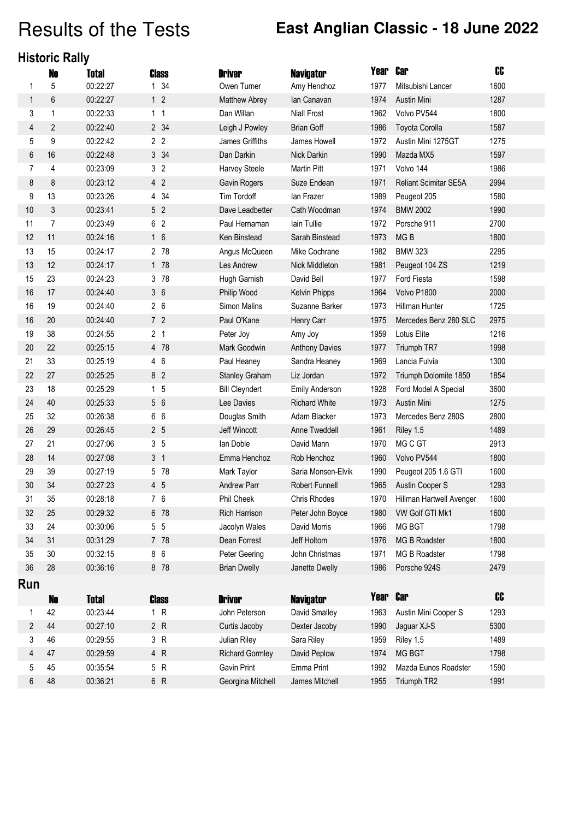### Results of the Tests **East Anglian Classic - 18 June 2022**

#### **Historic Rally**

|                | N <sub>0</sub> | Total        | Class          | <b>Driver</b>          | <b>Navigator</b>      | Year | <b>Car</b>               | CC   |
|----------------|----------------|--------------|----------------|------------------------|-----------------------|------|--------------------------|------|
| 1              | 5              | 00:22:27     | 1 34           | Owen Turner            | Amy Henchoz           | 1977 | Mitsubishi Lancer        | 1600 |
| $\mathbf{1}$   | 6              | 00:22:27     | 1 <sub>2</sub> | <b>Matthew Abrey</b>   | lan Canavan           | 1974 | <b>Austin Mini</b>       | 1287 |
| 3              | 1              | 00:22:33     | 1 <sub>1</sub> | Dan Willan             | <b>Niall Frost</b>    | 1962 | Volvo PV544              | 1800 |
| 4              | $\overline{2}$ | 00:22:40     | 2 34           | Leigh J Powley         | <b>Brian Goff</b>     | 1986 | <b>Toyota Corolla</b>    | 1587 |
| 5              | 9              | 00:22:42     | 2 <sub>2</sub> | James Griffiths        | James Howell          | 1972 | Austin Mini 1275GT       | 1275 |
| 6              | 16             | 00:22:48     | 3 34           | Dan Darkin             | Nick Darkin           | 1990 | Mazda MX5                | 1597 |
| 7              | 4              | 00:23:09     | 3 <sub>2</sub> | <b>Harvey Steele</b>   | Martin Pitt           | 1971 | Volvo 144                | 1986 |
| 8              | 8              | 00:23:12     | 4 <sub>2</sub> | Gavin Rogers           | Suze Endean           | 1971 | Reliant Scimitar SE5A    | 2994 |
| 9              | 13             | 00:23:26     | 4 34           | Tim Tordoff            | lan Frazer            | 1989 | Peugeot 205              | 1580 |
| 10             | 3              | 00:23:41     | 5 <sub>2</sub> | Dave Leadbetter        | Cath Woodman          | 1974 | <b>BMW 2002</b>          | 1990 |
| 11             | $\overline{7}$ | 00:23:49     | 6 2            | Paul Hernaman          | lain Tullie           | 1972 | Porsche 911              | 2700 |
| 12             | 11             | 00:24:16     | 16             | Ken Binstead           | Sarah Binstead        | 1973 | MG <sub>B</sub>          | 1800 |
| 13             | 15             | 00:24:17     | 2 78           | Angus McQueen          | Mike Cochrane         | 1982 | <b>BMW 323i</b>          | 2295 |
| 13             | 12             | 00:24:17     | 1 78           | Les Andrew             | Nick Middleton        | 1981 | Peugeot 104 ZS           | 1219 |
| 15             | 23             | 00:24:23     | 3 78           | Hugh Garnish           | David Bell            | 1977 | Ford Fiesta              | 1598 |
| 16             | 17             | 00:24:40     | 36             | Philip Wood            | Kelvin Phipps         | 1964 | Volvo P1800              | 2000 |
| 16             | 19             | 00:24:40     | 26             | Simon Malins           | Suzanne Barker        | 1973 | Hillman Hunter           | 1725 |
| 16             | 20             | 00:24:40     | 7 <sub>2</sub> | Paul O'Kane            | Henry Carr            | 1975 | Mercedes Benz 280 SLC    | 2975 |
| 19             | 38             | 00:24:55     | 2 <sub>1</sub> | Peter Joy              | Amy Joy               | 1959 | Lotus Elite              | 1216 |
| 20             | 22             | 00:25:15     | 4 78           | Mark Goodwin           | <b>Anthony Davies</b> | 1977 | Triumph TR7              | 1998 |
| 21             | 33             | 00:25:19     | 4 6            | Paul Heaney            | Sandra Heaney         | 1969 | Lancia Fulvia            | 1300 |
| 22             | 27             | 00:25:25     | 8 <sub>2</sub> | <b>Stanley Graham</b>  | Liz Jordan            | 1972 | Triumph Dolomite 1850    | 1854 |
| 23             | 18             | 00:25:29     | 1 <sub>5</sub> | <b>Bill Cleyndert</b>  | <b>Emily Anderson</b> | 1928 | Ford Model A Special     | 3600 |
| 24             | 40             | 00:25:33     | 5 6            | Lee Davies             | <b>Richard White</b>  | 1973 | Austin Mini              | 1275 |
| 25             | 32             | 00:26:38     | 6 6            | Douglas Smith          | Adam Blacker          | 1973 | Mercedes Benz 280S       | 2800 |
| 26             | 29             | 00:26:45     | 2 <sub>5</sub> | Jeff Wincott           | Anne Tweddell         | 1961 | Riley 1.5                | 1489 |
| 27             | 21             | 00:27:06     | 3 <sub>5</sub> | lan Doble              | David Mann            | 1970 | MG C GT                  | 2913 |
| 28             | 14             | 00:27:08     | 3 <sub>1</sub> | Emma Henchoz           | Rob Henchoz           | 1960 | Volvo PV544              | 1800 |
| 29             | 39             | 00:27:19     | 5 78           | Mark Taylor            | Saria Monsen-Elvik    | 1990 | Peugeot 205 1.6 GTI      | 1600 |
| 30             | 34             | 00:27:23     | 4 5            | Andrew Parr            | Robert Funnell        | 1965 | Austin Cooper S          | 1293 |
| 31             | 35             | 00:28:18     | 7 6            | Phil Cheek             | Chris Rhodes          | 1970 | Hillman Hartwell Avenger | 1600 |
| 32             | 25             | 00:29:32     | 6 78           | <b>Rich Harrison</b>   | Peter John Boyce      | 1980 | VW Golf GTI Mk1          | 1600 |
| 33             | 24             | 00:30:06     | 55             | Jacolyn Wales          | David Morris          | 1966 | MG BGT                   | 1798 |
| 34             | 31             | 00:31:29     | 7 78           | Dean Forrest           | Jeff Holtom           | 1976 | MG B Roadster            | 1800 |
| 35             | 30             | 00:32:15     | 8 6            | Peter Geering          | John Christmas        | 1971 | MG B Roadster            | 1798 |
| 36             | 28             | 00:36:16     | 8 78           | <b>Brian Dwelly</b>    | Janette Dwelly        | 1986 | Porsche 924S             | 2479 |
| Run            |                |              |                |                        |                       |      |                          |      |
|                | <b>No</b>      | <b>Total</b> | <b>Class</b>   | <b>Driver</b>          | <b>Navigator</b>      | Year | <b>Car</b>               | CC   |
| $\mathbf 1$    | 42             | 00:23:44     | 1 R            | John Peterson          | David Smalley         | 1963 | Austin Mini Cooper S     | 1293 |
| $\overline{2}$ | 44             | 00:27:10     | 2 R            | Curtis Jacoby          | Dexter Jacoby         | 1990 | Jaguar XJ-S              | 5300 |
| 3              | 46             | 00:29:55     | 3 R            | Julian Riley           | Sara Riley            | 1959 | Riley 1.5                | 1489 |
| 4              | 47             | 00:29:59     | 4 R            | <b>Richard Gormley</b> | David Peplow          | 1974 | MG BGT                   | 1798 |
| 5              | 45             | 00:35:54     | 5 R            | <b>Gavin Print</b>     | Emma Print            | 1992 | Mazda Eunos Roadster     | 1590 |
| 6              | 48             | 00:36:21     | 6 R            | Georgina Mitchell      | James Mitchell        | 1955 | Triumph TR2              | 1991 |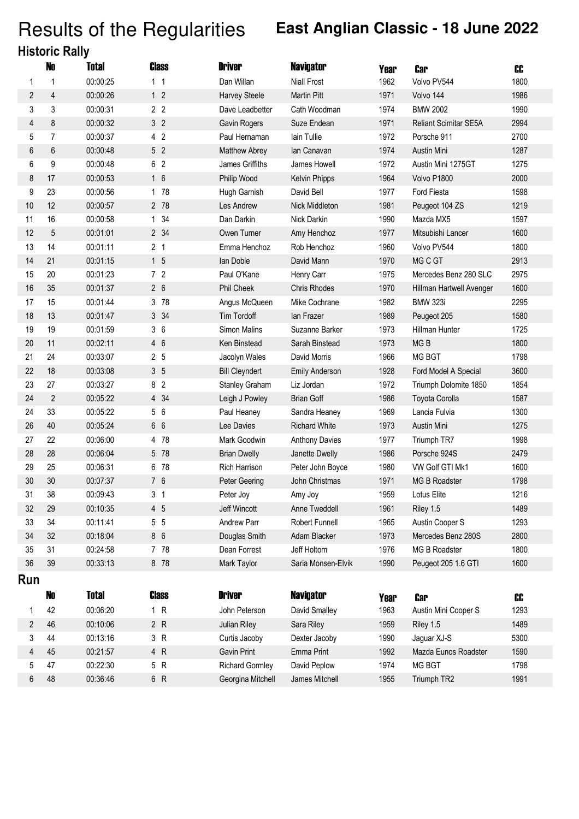# Results of the Regularities **East Anglian Classic - 18 June 2022**

|  | <b>Historic Rally</b> |  |
|--|-----------------------|--|
|  |                       |  |

|     | N <sub>0</sub> | <b>Total</b> | Class          | <b>Driver</b>          | <b>Navigator</b>      | Year | <b>Car</b>                   | CC   |
|-----|----------------|--------------|----------------|------------------------|-----------------------|------|------------------------------|------|
| 1   | 1              | 00:00:25     | 1 <sub>1</sub> | Dan Willan             | <b>Niall Frost</b>    | 1962 | Volvo PV544                  | 1800 |
| 2   | $\overline{4}$ | 00:00:26     | 1 <sub>2</sub> | Harvey Steele          | <b>Martin Pitt</b>    | 1971 | Volvo 144                    | 1986 |
| 3   | 3              | 00:00:31     | 2 <sub>2</sub> | Dave Leadbetter        | Cath Woodman          | 1974 | <b>BMW 2002</b>              | 1990 |
| 4   | 8              | 00:00:32     | 3 <sup>2</sup> | Gavin Rogers           | Suze Endean           | 1971 | <b>Reliant Scimitar SE5A</b> | 2994 |
| 5   | $\overline{7}$ | 00:00:37     | 4 <sub>2</sub> | Paul Hernaman          | lain Tullie           | 1972 | Porsche 911                  | 2700 |
| 6   | 6              | 00:00:48     | 5 <sub>2</sub> | Matthew Abrey          | lan Canavan           | 1974 | Austin Mini                  | 1287 |
| 6   | 9              | 00:00:48     | 6 2            | James Griffiths        | James Howell          | 1972 | Austin Mini 1275GT           | 1275 |
| 8   | 17             | 00:00:53     | 16             | Philip Wood            | Kelvin Phipps         | 1964 | Volvo P1800                  | 2000 |
| 9   | 23             | 00:00:56     | 1 78           | Hugh Garnish           | David Bell            | 1977 | Ford Fiesta                  | 1598 |
| 10  | 12             | 00:00:57     | 2 78           | Les Andrew             | Nick Middleton        | 1981 | Peugeot 104 ZS               | 1219 |
| 11  | 16             | 00:00:58     | 1 34           | Dan Darkin             | Nick Darkin           | 1990 | Mazda MX5                    | 1597 |
| 12  | 5              | 00:01:01     | 2 34           | Owen Turner            | Amy Henchoz           | 1977 | Mitsubishi Lancer            | 1600 |
| 13  | 14             | 00:01:11     | 2 <sub>1</sub> | Emma Henchoz           | Rob Henchoz           | 1960 | Volvo PV544                  | 1800 |
| 14  | 21             | 00:01:15     | 15             | lan Doble              | David Mann            | 1970 | MG C GT                      | 2913 |
| 15  | 20             | 00:01:23     | 72             | Paul O'Kane            | Henry Carr            | 1975 | Mercedes Benz 280 SLC        | 2975 |
| 16  | 35             | 00:01:37     | 26             | <b>Phil Cheek</b>      | <b>Chris Rhodes</b>   | 1970 | Hillman Hartwell Avenger     | 1600 |
| 17  | 15             | 00:01:44     | 3 78           | Angus McQueen          | Mike Cochrane         | 1982 | <b>BMW 323i</b>              | 2295 |
| 18  | 13             | 00:01:47     | 3 34           | Tim Tordoff            | lan Frazer            | 1989 | Peugeot 205                  | 1580 |
| 19  | 19             | 00:01:59     | 36             | <b>Simon Malins</b>    | Suzanne Barker        | 1973 | Hillman Hunter               | 1725 |
| 20  | 11             | 00:02:11     | 4 6            | Ken Binstead           | Sarah Binstead        | 1973 | MG <sub>B</sub>              | 1800 |
| 21  | 24             | 00:03:07     | 2 <sub>5</sub> | Jacolyn Wales          | David Morris          | 1966 | MG BGT                       | 1798 |
| 22  | 18             | 00:03:08     | 3 <sub>5</sub> | <b>Bill Cleyndert</b>  | <b>Emily Anderson</b> | 1928 | Ford Model A Special         | 3600 |
| 23  | 27             | 00:03:27     | 8 <sub>2</sub> | Stanley Graham         | Liz Jordan            | 1972 | Triumph Dolomite 1850        | 1854 |
| 24  | $\mathbf{2}$   | 00:05:22     | 4 34           | Leigh J Powley         | <b>Brian Goff</b>     | 1986 | Toyota Corolla               | 1587 |
| 24  | 33             | 00:05:22     | 56             | Paul Heaney            | Sandra Heaney         | 1969 | Lancia Fulvia                | 1300 |
| 26  | 40             | 00:05:24     | 6 6            | Lee Davies             | <b>Richard White</b>  | 1973 | Austin Mini                  | 1275 |
| 27  | 22             | 00:06:00     | 4 78           | Mark Goodwin           | <b>Anthony Davies</b> | 1977 | Triumph TR7                  | 1998 |
| 28  | 28             | 00:06:04     | 5 78           | <b>Brian Dwelly</b>    | Janette Dwelly        | 1986 | Porsche 924S                 | 2479 |
| 29  | 25             | 00:06:31     | 6 78           | Rich Harrison          | Peter John Boyce      | 1980 | VW Golf GTI Mk1              | 1600 |
| 30  | 30             | 00:07:37     | 7 6            | Peter Geering          | John Christmas        | 1971 | MG B Roadster                | 1798 |
| 31  | 38             | 00:09:43     | 3 <sub>1</sub> | Peter Joy              | Amy Joy               | 1959 | Lotus Elite                  | 1216 |
| 32  | 29             | 00:10:35     | 4 5            | Jeff Wincott           | Anne Tweddell         | 1961 | Riley 1.5                    | 1489 |
| 33  | 34             | 00:11:41     | 55             | Andrew Parr            | Robert Funnell        | 1965 | Austin Cooper S              | 1293 |
| 34  | 32             | 00:18:04     | 8 6            | Douglas Smith          | Adam Blacker          | 1973 | Mercedes Benz 280S           | 2800 |
| 35  | 31             | 00:24:58     | 7 78           | Dean Forrest           | Jeff Holtom           | 1976 | MG B Roadster                | 1800 |
| 36  | 39             | 00:33:13     | 8 78           | Mark Taylor            | Saria Monsen-Elvik    | 1990 | Peugeot 205 1.6 GTI          | 1600 |
| Run |                |              |                |                        |                       |      |                              |      |
|     | No             | Total        | Class          | <b>Driver</b>          | <b>Navigator</b>      | Year | <b>Car</b>                   | CC   |
|     | 42             | 00:06:20     | 1 R            | John Peterson          | David Smalley         | 1963 | Austin Mini Cooper S         | 1293 |
| 2   | 46             | 00:10:06     | 2 R            | Julian Riley           | Sara Riley            | 1959 | Riley 1.5                    | 1489 |
| 3   | 44             | 00:13:16     | 3 R            | Curtis Jacoby          | Dexter Jacoby         | 1990 | Jaguar XJ-S                  | 5300 |
| 4   | 45             | 00:21:57     | 4 R            | Gavin Print            | Emma Print            | 1992 | Mazda Eunos Roadster         | 1590 |
| 5   | 47             | 00:22:30     | 5 R            | <b>Richard Gormley</b> | David Peplow          | 1974 | MG BGT                       | 1798 |
| 6   | 48             | 00:36:46     | 6 R            | Georgina Mitchell      | James Mitchell        | 1955 | Triumph TR2                  | 1991 |
|     |                |              |                |                        |                       |      |                              |      |